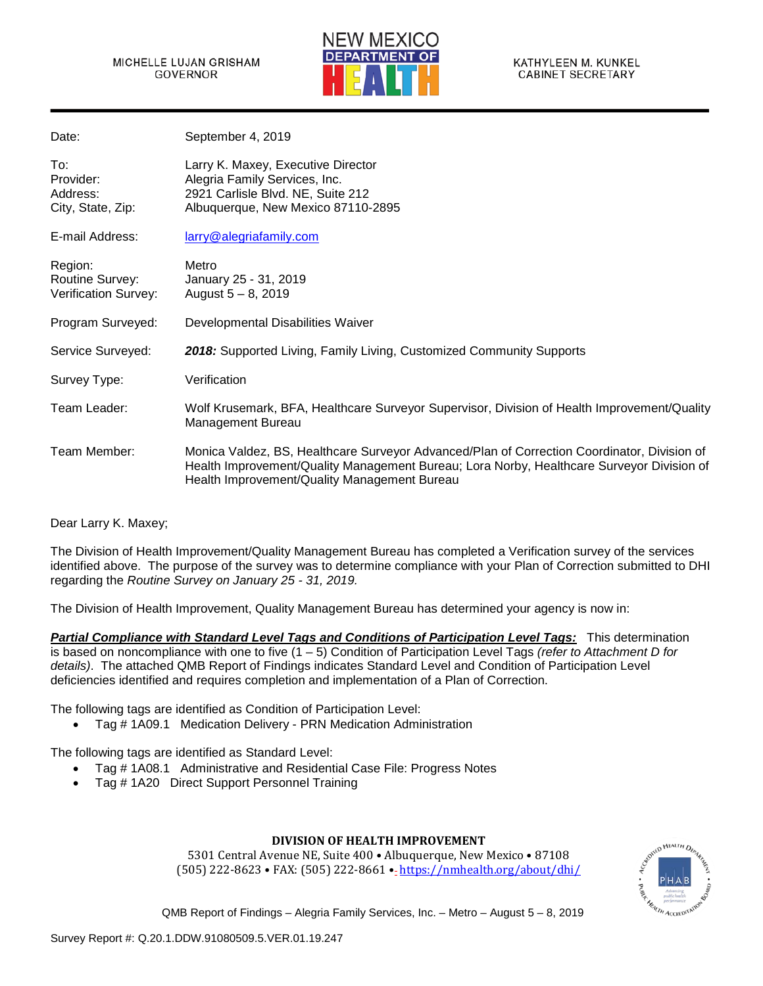

| Date:                                              | September 4, 2019                                                                                                                                                                                                                        |
|----------------------------------------------------|------------------------------------------------------------------------------------------------------------------------------------------------------------------------------------------------------------------------------------------|
| To:<br>Provider:<br>Address:<br>City, State, Zip:  | Larry K. Maxey, Executive Director<br>Alegria Family Services, Inc.<br>2921 Carlisle Blvd. NE, Suite 212<br>Albuquerque, New Mexico 87110-2895                                                                                           |
| E-mail Address:                                    | larry@alegriafamily.com                                                                                                                                                                                                                  |
| Region:<br>Routine Survey:<br>Verification Survey: | Metro<br>January 25 - 31, 2019<br>August $5 - 8$ , 2019                                                                                                                                                                                  |
| Program Surveyed:                                  | Developmental Disabilities Waiver                                                                                                                                                                                                        |
| Service Surveyed:                                  | 2018: Supported Living, Family Living, Customized Community Supports                                                                                                                                                                     |
| Survey Type:                                       | Verification                                                                                                                                                                                                                             |
| Team Leader:                                       | Wolf Krusemark, BFA, Healthcare Surveyor Supervisor, Division of Health Improvement/Quality<br>Management Bureau                                                                                                                         |
| Team Member:                                       | Monica Valdez, BS, Healthcare Surveyor Advanced/Plan of Correction Coordinator, Division of<br>Health Improvement/Quality Management Bureau; Lora Norby, Healthcare Surveyor Division of<br>Health Improvement/Quality Management Bureau |

# Dear Larry K. Maxey;

The Division of Health Improvement/Quality Management Bureau has completed a Verification survey of the services identified above. The purpose of the survey was to determine compliance with your Plan of Correction submitted to DHI regarding the *Routine Survey on January 25 - 31, 2019.*

The Division of Health Improvement, Quality Management Bureau has determined your agency is now in:

*Partial Compliance with Standard Level Tags and Conditions of Participation Level Tags:* This determination is based on noncompliance with one to five (1 – 5) Condition of Participation Level Tags *(refer to Attachment D for details)*. The attached QMB Report of Findings indicates Standard Level and Condition of Participation Level deficiencies identified and requires completion and implementation of a Plan of Correction.

The following tags are identified as Condition of Participation Level:

• Tag # 1A09.1 Medication Delivery - PRN Medication Administration

The following tags are identified as Standard Level:

- Tag # 1A08.1 Administrative and Residential Case File: Progress Notes
- Tag # 1A20 Direct Support Personnel Training

# **DIVISION OF HEALTH IMPROVEMENT**

5301 Central Avenue NE, Suite 400 • Albuquerque, New Mexico • 87108 (505) 222-8623 • FAX: (505) 222-8661 • <https://nmhealth.org/about/dhi/>

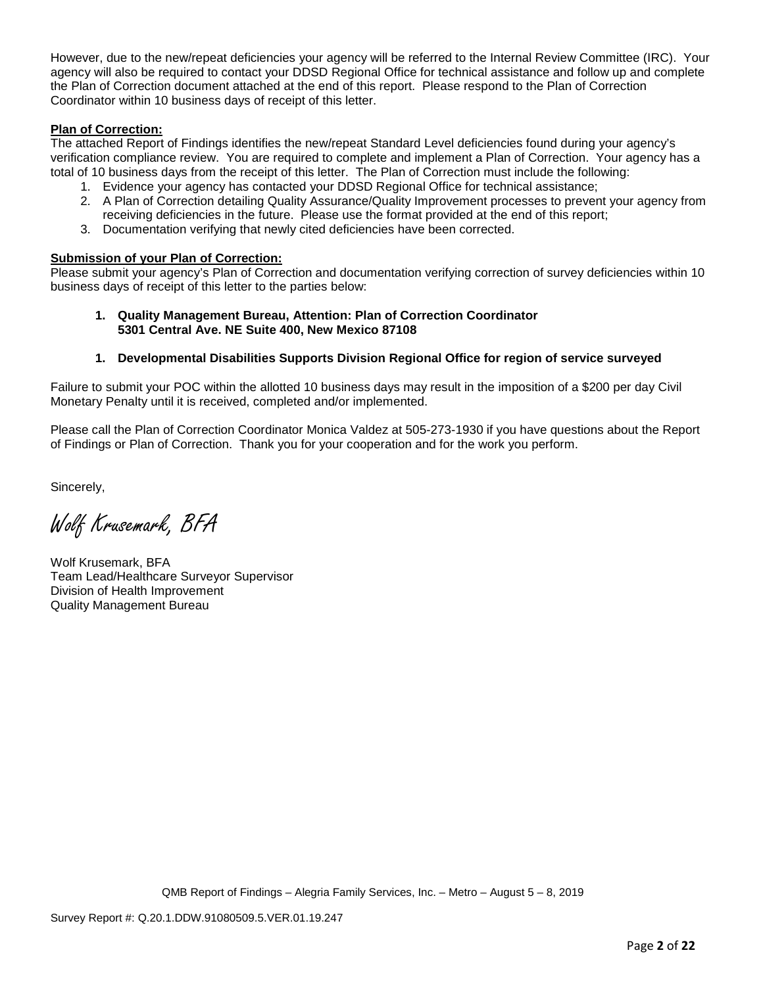However, due to the new/repeat deficiencies your agency will be referred to the Internal Review Committee (IRC). Your agency will also be required to contact your DDSD Regional Office for technical assistance and follow up and complete the Plan of Correction document attached at the end of this report. Please respond to the Plan of Correction Coordinator within 10 business days of receipt of this letter.

## **Plan of Correction:**

The attached Report of Findings identifies the new/repeat Standard Level deficiencies found during your agency's verification compliance review. You are required to complete and implement a Plan of Correction. Your agency has a total of 10 business days from the receipt of this letter. The Plan of Correction must include the following:

- 1. Evidence your agency has contacted your DDSD Regional Office for technical assistance;
- 2. A Plan of Correction detailing Quality Assurance/Quality Improvement processes to prevent your agency from receiving deficiencies in the future. Please use the format provided at the end of this report;
- 3. Documentation verifying that newly cited deficiencies have been corrected.

## **Submission of your Plan of Correction:**

Please submit your agency's Plan of Correction and documentation verifying correction of survey deficiencies within 10 business days of receipt of this letter to the parties below:

**1. Quality Management Bureau, Attention: Plan of Correction Coordinator 5301 Central Ave. NE Suite 400, New Mexico 87108**

## **1. Developmental Disabilities Supports Division Regional Office for region of service surveyed**

Failure to submit your POC within the allotted 10 business days may result in the imposition of a \$200 per day Civil Monetary Penalty until it is received, completed and/or implemented.

Please call the Plan of Correction Coordinator Monica Valdez at 505-273-1930 if you have questions about the Report of Findings or Plan of Correction. Thank you for your cooperation and for the work you perform.

Sincerely,

Wolf Krusemark, BFA

Wolf Krusemark, BFA Team Lead/Healthcare Surveyor Supervisor Division of Health Improvement Quality Management Bureau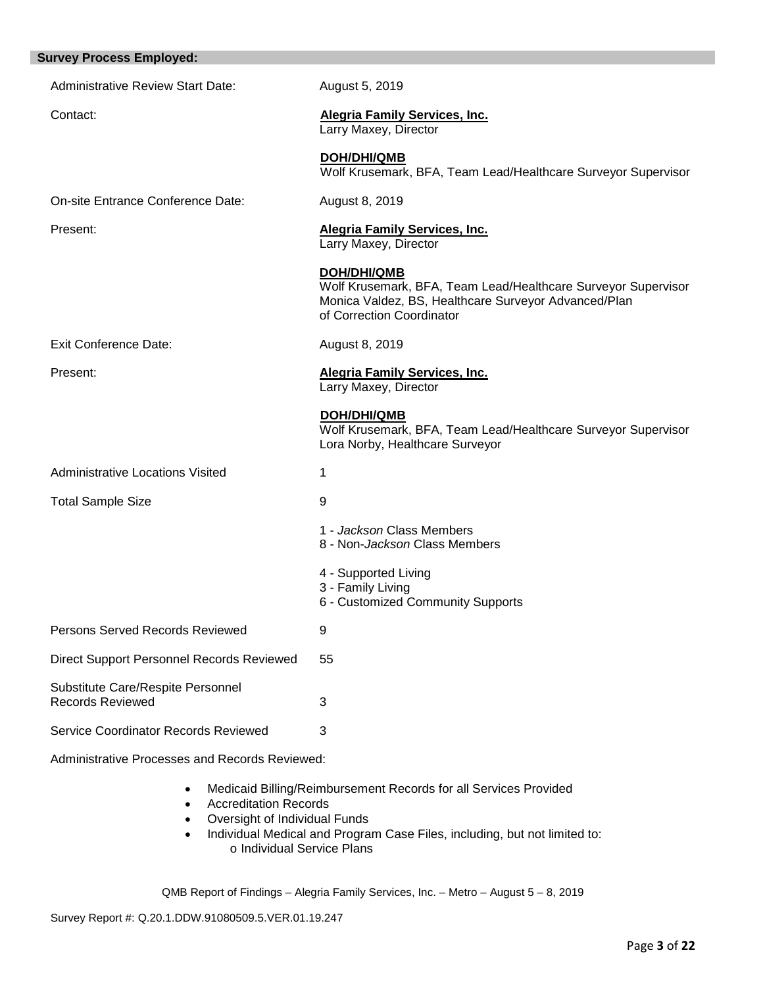| <b>Survey Process Employed:</b>                              |                                                                                                                                                                          |
|--------------------------------------------------------------|--------------------------------------------------------------------------------------------------------------------------------------------------------------------------|
| <b>Administrative Review Start Date:</b>                     | August 5, 2019                                                                                                                                                           |
| Contact:                                                     | <b>Alegria Family Services, Inc.</b><br>Larry Maxey, Director                                                                                                            |
|                                                              | DOH/DHI/QMB<br>Wolf Krusemark, BFA, Team Lead/Healthcare Surveyor Supervisor                                                                                             |
| On-site Entrance Conference Date:                            | August 8, 2019                                                                                                                                                           |
| Present:                                                     | <b>Alegria Family Services, Inc.</b><br>Larry Maxey, Director                                                                                                            |
|                                                              | <b>DOH/DHI/QMB</b><br>Wolf Krusemark, BFA, Team Lead/Healthcare Surveyor Supervisor<br>Monica Valdez, BS, Healthcare Surveyor Advanced/Plan<br>of Correction Coordinator |
| <b>Exit Conference Date:</b>                                 | August 8, 2019                                                                                                                                                           |
| Present:                                                     | <b>Alegria Family Services, Inc.</b><br>Larry Maxey, Director                                                                                                            |
|                                                              | DOH/DHI/QMB<br>Wolf Krusemark, BFA, Team Lead/Healthcare Surveyor Supervisor<br>Lora Norby, Healthcare Surveyor                                                          |
| <b>Administrative Locations Visited</b>                      | 1                                                                                                                                                                        |
| <b>Total Sample Size</b>                                     | 9                                                                                                                                                                        |
|                                                              | 1 - Jackson Class Members<br>8 - Non-Jackson Class Members                                                                                                               |
|                                                              | 4 - Supported Living<br>3 - Family Living<br>6 - Customized Community Supports                                                                                           |
| Persons Served Records Reviewed                              | 9                                                                                                                                                                        |
| Direct Support Personnel Records Reviewed                    | 55                                                                                                                                                                       |
| Substitute Care/Respite Personnel<br><b>Records Reviewed</b> | $\ensuremath{\mathsf{3}}$                                                                                                                                                |
| Service Coordinator Records Reviewed                         | 3                                                                                                                                                                        |

Administrative Processes and Records Reviewed:

- Medicaid Billing/Reimbursement Records for all Services Provided
- Accreditation Records
- Oversight of Individual Funds
- Individual Medical and Program Case Files, including, but not limited to: o Individual Service Plans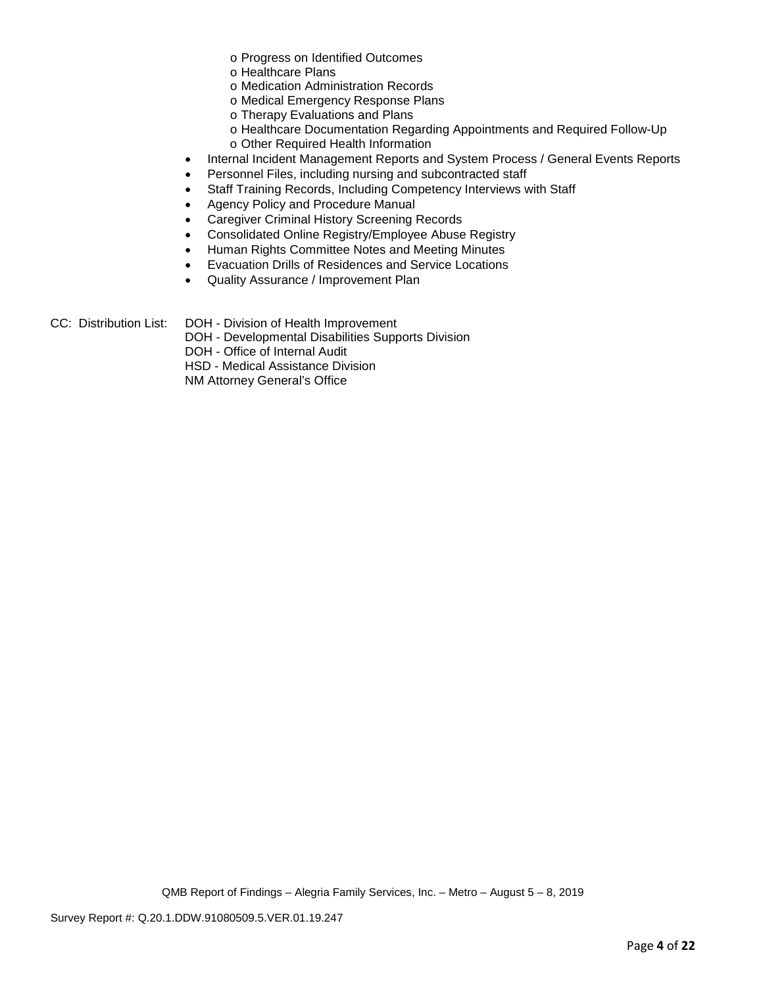- o Progress on Identified Outcomes
- o Healthcare Plans
- o Medication Administration Records
- o Medical Emergency Response Plans
- o Therapy Evaluations and Plans
- o Healthcare Documentation Regarding Appointments and Required Follow-Up
- o Other Required Health Information
- Internal Incident Management Reports and System Process / General Events Reports
- Personnel Files, including nursing and subcontracted staff
- Staff Training Records, Including Competency Interviews with Staff
- Agency Policy and Procedure Manual
- Caregiver Criminal History Screening Records
- Consolidated Online Registry/Employee Abuse Registry
- Human Rights Committee Notes and Meeting Minutes
- Evacuation Drills of Residences and Service Locations
- Quality Assurance / Improvement Plan
- CC: Distribution List: DOH Division of Health Improvement
	- DOH Developmental Disabilities Supports Division
	- DOH Office of Internal Audit
	- HSD Medical Assistance Division

NM Attorney General's Office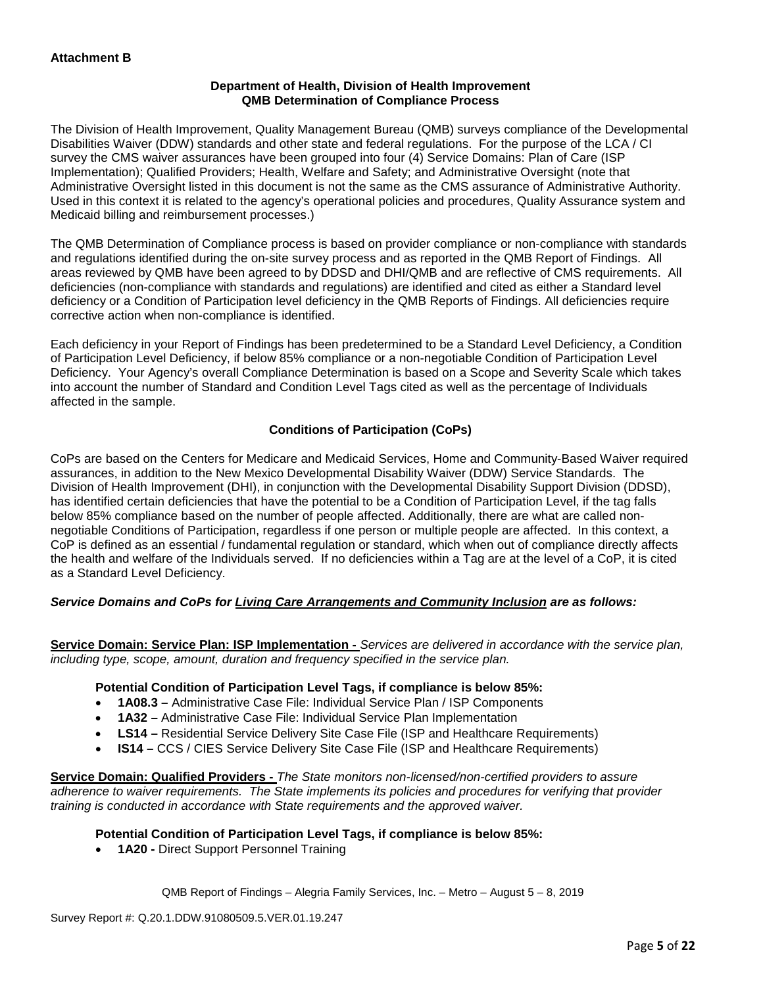## **Department of Health, Division of Health Improvement QMB Determination of Compliance Process**

The Division of Health Improvement, Quality Management Bureau (QMB) surveys compliance of the Developmental Disabilities Waiver (DDW) standards and other state and federal regulations. For the purpose of the LCA / CI survey the CMS waiver assurances have been grouped into four (4) Service Domains: Plan of Care (ISP Implementation); Qualified Providers; Health, Welfare and Safety; and Administrative Oversight (note that Administrative Oversight listed in this document is not the same as the CMS assurance of Administrative Authority. Used in this context it is related to the agency's operational policies and procedures, Quality Assurance system and Medicaid billing and reimbursement processes.)

The QMB Determination of Compliance process is based on provider compliance or non-compliance with standards and regulations identified during the on-site survey process and as reported in the QMB Report of Findings. All areas reviewed by QMB have been agreed to by DDSD and DHI/QMB and are reflective of CMS requirements. All deficiencies (non-compliance with standards and regulations) are identified and cited as either a Standard level deficiency or a Condition of Participation level deficiency in the QMB Reports of Findings. All deficiencies require corrective action when non-compliance is identified.

Each deficiency in your Report of Findings has been predetermined to be a Standard Level Deficiency, a Condition of Participation Level Deficiency, if below 85% compliance or a non-negotiable Condition of Participation Level Deficiency. Your Agency's overall Compliance Determination is based on a Scope and Severity Scale which takes into account the number of Standard and Condition Level Tags cited as well as the percentage of Individuals affected in the sample.

# **Conditions of Participation (CoPs)**

CoPs are based on the Centers for Medicare and Medicaid Services, Home and Community-Based Waiver required assurances, in addition to the New Mexico Developmental Disability Waiver (DDW) Service Standards. The Division of Health Improvement (DHI), in conjunction with the Developmental Disability Support Division (DDSD), has identified certain deficiencies that have the potential to be a Condition of Participation Level, if the tag falls below 85% compliance based on the number of people affected. Additionally, there are what are called nonnegotiable Conditions of Participation, regardless if one person or multiple people are affected. In this context, a CoP is defined as an essential / fundamental regulation or standard, which when out of compliance directly affects the health and welfare of the Individuals served. If no deficiencies within a Tag are at the level of a CoP, it is cited as a Standard Level Deficiency.

# *Service Domains and CoPs for Living Care Arrangements and Community Inclusion are as follows:*

**Service Domain: Service Plan: ISP Implementation -** *Services are delivered in accordance with the service plan, including type, scope, amount, duration and frequency specified in the service plan.*

## **Potential Condition of Participation Level Tags, if compliance is below 85%:**

- **1A08.3 –** Administrative Case File: Individual Service Plan / ISP Components
- **1A32 –** Administrative Case File: Individual Service Plan Implementation
- **LS14 –** Residential Service Delivery Site Case File (ISP and Healthcare Requirements)
- **IS14 –** CCS / CIES Service Delivery Site Case File (ISP and Healthcare Requirements)

**Service Domain: Qualified Providers -** *The State monitors non-licensed/non-certified providers to assure adherence to waiver requirements. The State implements its policies and procedures for verifying that provider training is conducted in accordance with State requirements and the approved waiver.*

## **Potential Condition of Participation Level Tags, if compliance is below 85%:**

• **1A20 -** Direct Support Personnel Training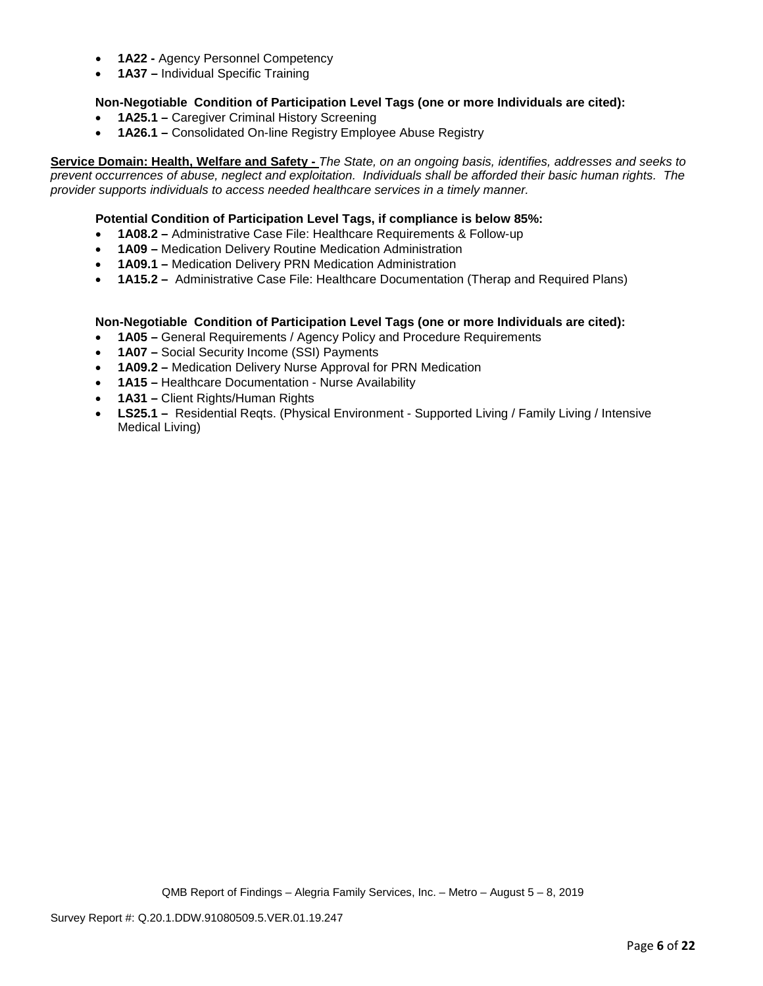- **1A22 -** Agency Personnel Competency
- **1A37 –** Individual Specific Training

## **Non-Negotiable Condition of Participation Level Tags (one or more Individuals are cited):**

- **1A25.1 –** Caregiver Criminal History Screening
- **1A26.1 –** Consolidated On-line Registry Employee Abuse Registry

**Service Domain: Health, Welfare and Safety -** *The State, on an ongoing basis, identifies, addresses and seeks to prevent occurrences of abuse, neglect and exploitation. Individuals shall be afforded their basic human rights. The provider supports individuals to access needed healthcare services in a timely manner.*

## **Potential Condition of Participation Level Tags, if compliance is below 85%:**

- **1A08.2 –** Administrative Case File: Healthcare Requirements & Follow-up
- **1A09 –** Medication Delivery Routine Medication Administration
- **1A09.1 –** Medication Delivery PRN Medication Administration
- **1A15.2 –** Administrative Case File: Healthcare Documentation (Therap and Required Plans)

## **Non-Negotiable Condition of Participation Level Tags (one or more Individuals are cited):**

- **1A05 –** General Requirements / Agency Policy and Procedure Requirements
- **1A07 –** Social Security Income (SSI) Payments
- **1A09.2 –** Medication Delivery Nurse Approval for PRN Medication
- **1A15 –** Healthcare Documentation Nurse Availability
- **1A31 –** Client Rights/Human Rights
- **LS25.1 –** Residential Reqts. (Physical Environment Supported Living / Family Living / Intensive Medical Living)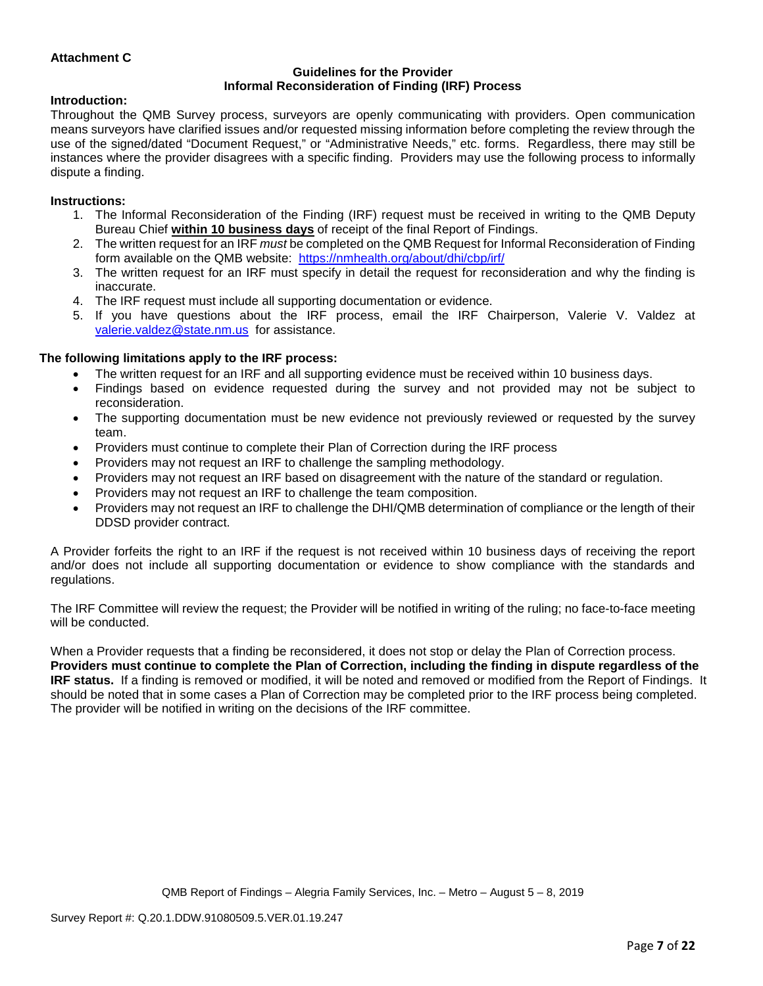## **Attachment C**

#### **Guidelines for the Provider Informal Reconsideration of Finding (IRF) Process**

## **Introduction:**

Throughout the QMB Survey process, surveyors are openly communicating with providers. Open communication means surveyors have clarified issues and/or requested missing information before completing the review through the use of the signed/dated "Document Request," or "Administrative Needs," etc. forms. Regardless, there may still be instances where the provider disagrees with a specific finding. Providers may use the following process to informally dispute a finding.

## **Instructions:**

- 1. The Informal Reconsideration of the Finding (IRF) request must be received in writing to the QMB Deputy Bureau Chief **within 10 business days** of receipt of the final Report of Findings.
- 2. The written request for an IRF *must* be completed on the QMB Request for Informal Reconsideration of Finding form available on the QMB website: <https://nmhealth.org/about/dhi/cbp/irf/>
- 3. The written request for an IRF must specify in detail the request for reconsideration and why the finding is inaccurate.
- 4. The IRF request must include all supporting documentation or evidence.
- 5. If you have questions about the IRF process, email the IRF Chairperson, Valerie V. Valdez at [valerie.valdez@state.nm.us](mailto:valerie.valdez@state.nm.us) for assistance.

## **The following limitations apply to the IRF process:**

- The written request for an IRF and all supporting evidence must be received within 10 business days.
- Findings based on evidence requested during the survey and not provided may not be subject to reconsideration.
- The supporting documentation must be new evidence not previously reviewed or requested by the survey team.
- Providers must continue to complete their Plan of Correction during the IRF process
- Providers may not request an IRF to challenge the sampling methodology.
- Providers may not request an IRF based on disagreement with the nature of the standard or regulation.
- Providers may not request an IRF to challenge the team composition.
- Providers may not request an IRF to challenge the DHI/QMB determination of compliance or the length of their DDSD provider contract.

A Provider forfeits the right to an IRF if the request is not received within 10 business days of receiving the report and/or does not include all supporting documentation or evidence to show compliance with the standards and regulations.

The IRF Committee will review the request; the Provider will be notified in writing of the ruling; no face-to-face meeting will be conducted.

When a Provider requests that a finding be reconsidered, it does not stop or delay the Plan of Correction process. **Providers must continue to complete the Plan of Correction, including the finding in dispute regardless of the IRF status.** If a finding is removed or modified, it will be noted and removed or modified from the Report of Findings. It should be noted that in some cases a Plan of Correction may be completed prior to the IRF process being completed. The provider will be notified in writing on the decisions of the IRF committee.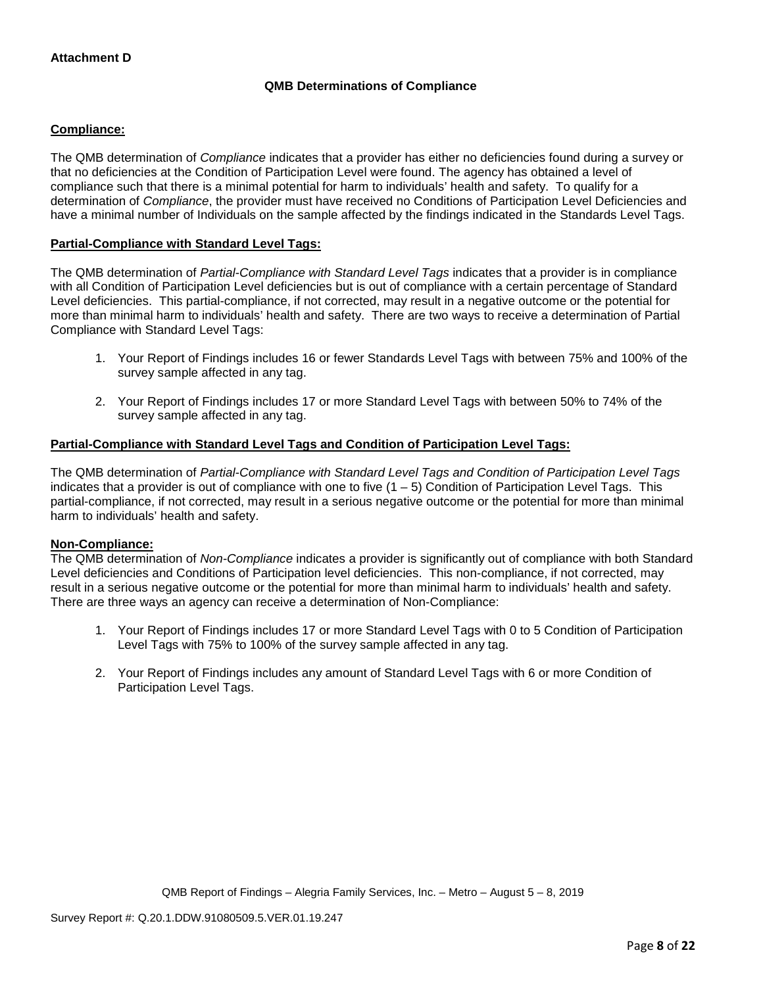# **QMB Determinations of Compliance**

## **Compliance:**

The QMB determination of *Compliance* indicates that a provider has either no deficiencies found during a survey or that no deficiencies at the Condition of Participation Level were found. The agency has obtained a level of compliance such that there is a minimal potential for harm to individuals' health and safety. To qualify for a determination of *Compliance*, the provider must have received no Conditions of Participation Level Deficiencies and have a minimal number of Individuals on the sample affected by the findings indicated in the Standards Level Tags.

## **Partial-Compliance with Standard Level Tags:**

The QMB determination of *Partial-Compliance with Standard Level Tags* indicates that a provider is in compliance with all Condition of Participation Level deficiencies but is out of compliance with a certain percentage of Standard Level deficiencies. This partial-compliance, if not corrected, may result in a negative outcome or the potential for more than minimal harm to individuals' health and safety. There are two ways to receive a determination of Partial Compliance with Standard Level Tags:

- 1. Your Report of Findings includes 16 or fewer Standards Level Tags with between 75% and 100% of the survey sample affected in any tag.
- 2. Your Report of Findings includes 17 or more Standard Level Tags with between 50% to 74% of the survey sample affected in any tag.

## **Partial-Compliance with Standard Level Tags and Condition of Participation Level Tags:**

The QMB determination of *Partial-Compliance with Standard Level Tags and Condition of Participation Level Tags*  indicates that a provider is out of compliance with one to five  $(1 - 5)$  Condition of Participation Level Tags. This partial-compliance, if not corrected, may result in a serious negative outcome or the potential for more than minimal harm to individuals' health and safety.

## **Non-Compliance:**

The QMB determination of *Non-Compliance* indicates a provider is significantly out of compliance with both Standard Level deficiencies and Conditions of Participation level deficiencies. This non-compliance, if not corrected, may result in a serious negative outcome or the potential for more than minimal harm to individuals' health and safety. There are three ways an agency can receive a determination of Non-Compliance:

- 1. Your Report of Findings includes 17 or more Standard Level Tags with 0 to 5 Condition of Participation Level Tags with 75% to 100% of the survey sample affected in any tag.
- 2. Your Report of Findings includes any amount of Standard Level Tags with 6 or more Condition of Participation Level Tags.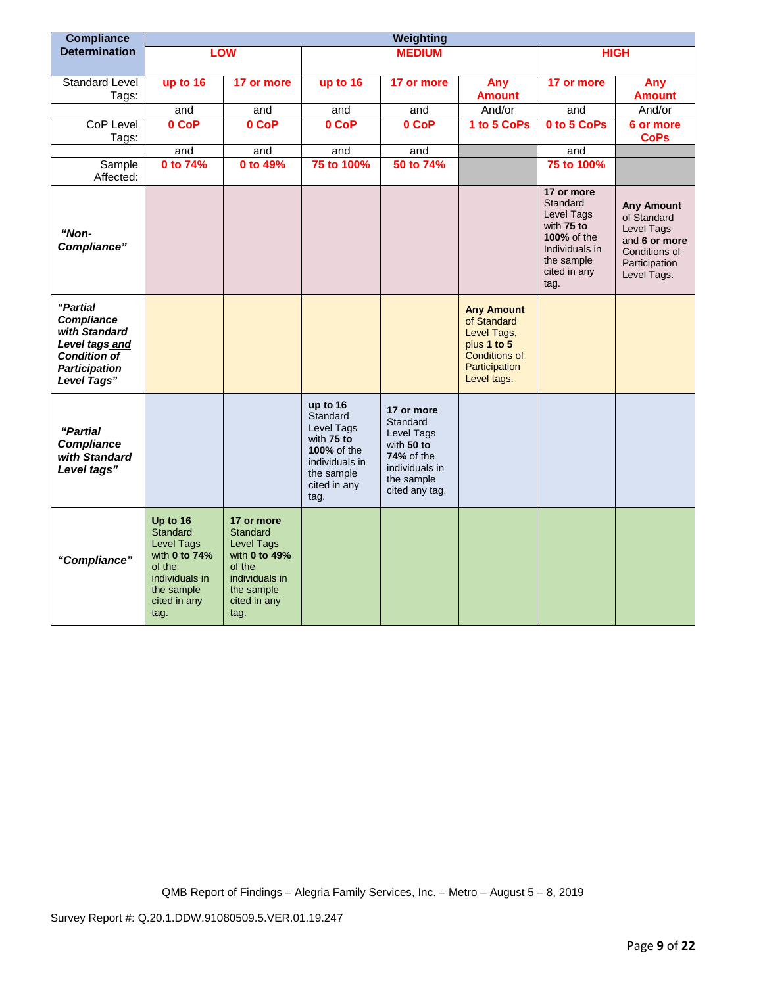| <b>Compliance</b>                                                                                                       | Weighting                                                                                                                           |                                                                                                                                |                                                                                                                                |                                                                                                                           |                                                                                                                        |                                                                                                                                  |                                                                                                                  |
|-------------------------------------------------------------------------------------------------------------------------|-------------------------------------------------------------------------------------------------------------------------------------|--------------------------------------------------------------------------------------------------------------------------------|--------------------------------------------------------------------------------------------------------------------------------|---------------------------------------------------------------------------------------------------------------------------|------------------------------------------------------------------------------------------------------------------------|----------------------------------------------------------------------------------------------------------------------------------|------------------------------------------------------------------------------------------------------------------|
| <b>Determination</b>                                                                                                    |                                                                                                                                     | <b>LOW</b>                                                                                                                     |                                                                                                                                | <b>MEDIUM</b>                                                                                                             |                                                                                                                        |                                                                                                                                  | <b>HIGH</b>                                                                                                      |
|                                                                                                                         |                                                                                                                                     |                                                                                                                                |                                                                                                                                |                                                                                                                           |                                                                                                                        |                                                                                                                                  |                                                                                                                  |
| <b>Standard Level</b><br>Tags:                                                                                          | up to 16                                                                                                                            | 17 or more                                                                                                                     | up to 16                                                                                                                       | 17 or more                                                                                                                | Any<br><b>Amount</b>                                                                                                   | 17 or more                                                                                                                       | Any<br><b>Amount</b>                                                                                             |
|                                                                                                                         | and                                                                                                                                 | and                                                                                                                            | and                                                                                                                            | and                                                                                                                       | And/or                                                                                                                 | and                                                                                                                              | And/or                                                                                                           |
| CoP Level<br>Tags:                                                                                                      | 0 CoP                                                                                                                               | 0 CoP                                                                                                                          | 0 CoP                                                                                                                          | 0 CoP                                                                                                                     | 1 to 5 CoPs                                                                                                            | 0 to 5 CoPs                                                                                                                      | 6 or more<br><b>CoPs</b>                                                                                         |
|                                                                                                                         | and                                                                                                                                 | and                                                                                                                            | and                                                                                                                            | and                                                                                                                       |                                                                                                                        | and                                                                                                                              |                                                                                                                  |
| Sample<br>Affected:                                                                                                     | 0 to 74%                                                                                                                            | 0 to 49%                                                                                                                       | 75 to 100%                                                                                                                     | 50 to 74%                                                                                                                 |                                                                                                                        | 75 to 100%                                                                                                                       |                                                                                                                  |
| "Non-<br>Compliance"                                                                                                    |                                                                                                                                     |                                                                                                                                |                                                                                                                                |                                                                                                                           |                                                                                                                        | 17 or more<br>Standard<br>Level Tags<br>with 75 to<br><b>100% of the</b><br>Individuals in<br>the sample<br>cited in any<br>tag. | <b>Any Amount</b><br>of Standard<br>Level Tags<br>and 6 or more<br>Conditions of<br>Participation<br>Level Tags. |
| "Partial<br>Compliance<br>with Standard<br>Level tags and<br><b>Condition of</b><br><b>Participation</b><br>Level Tags" |                                                                                                                                     |                                                                                                                                |                                                                                                                                |                                                                                                                           | <b>Any Amount</b><br>of Standard<br>Level Tags,<br>plus 1 to 5<br><b>Conditions of</b><br>Participation<br>Level tags. |                                                                                                                                  |                                                                                                                  |
| "Partial<br><b>Compliance</b><br>with Standard<br>Level tags"                                                           |                                                                                                                                     |                                                                                                                                | up to 16<br>Standard<br>Level Tags<br>with 75 to<br><b>100% of the</b><br>individuals in<br>the sample<br>cited in any<br>tag. | 17 or more<br>Standard<br>Level Tags<br>with 50 to<br><b>74%</b> of the<br>individuals in<br>the sample<br>cited any tag. |                                                                                                                        |                                                                                                                                  |                                                                                                                  |
| "Compliance"                                                                                                            | Up to 16<br><b>Standard</b><br><b>Level Tags</b><br>with 0 to 74%<br>of the<br>individuals in<br>the sample<br>cited in any<br>tag. | 17 or more<br>Standard<br><b>Level Tags</b><br>with 0 to 49%<br>of the<br>individuals in<br>the sample<br>cited in any<br>tag. |                                                                                                                                |                                                                                                                           |                                                                                                                        |                                                                                                                                  |                                                                                                                  |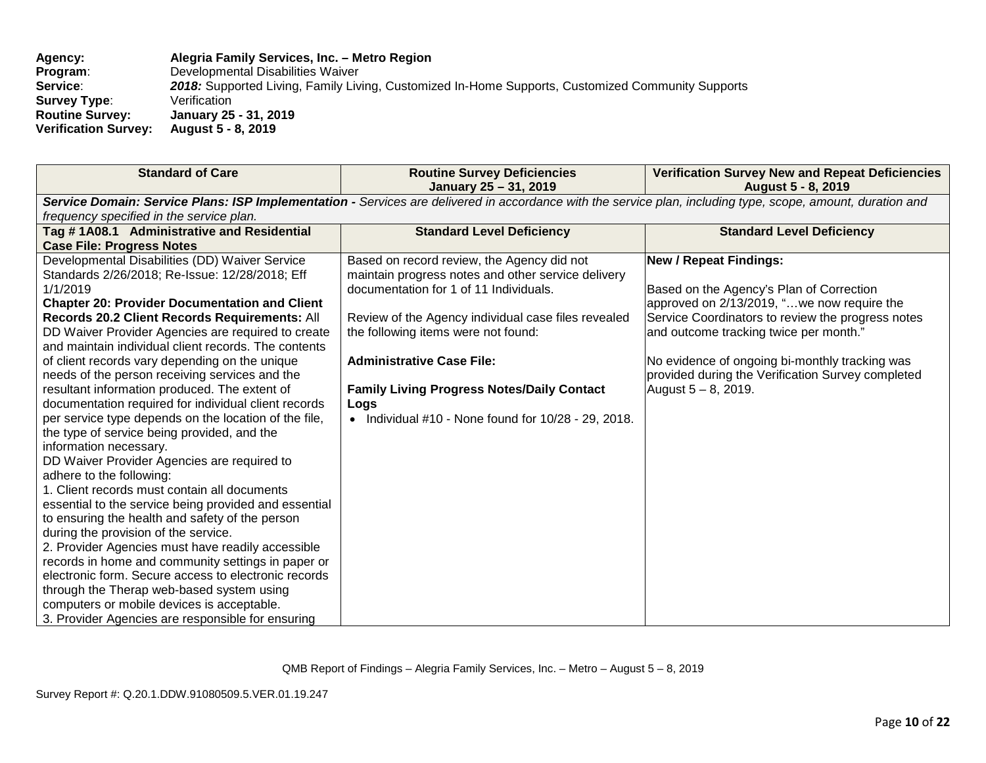Agency: **Alegria Family Services, Inc. – Metro Region**<br> **Program:** Developmental Disabilities Waiver **Program:** Developmental Disabilities Waiver<br> **Service:** 2018: Supported Living. Family Liv 2018: Supported Living, Family Living, Customized In-Home Supports, Customized Community Supports<br>Verification **Survey Type:<br>Routine Survey: Routine Survey: January 25 - 31, 2019 Verification Survey:** 

| <b>Standard of Care</b>                                                                                                                                     | <b>Routine Survey Deficiencies</b><br>January 25 - 31, 2019 | <b>Verification Survey New and Repeat Deficiencies</b><br>August 5 - 8, 2019 |  |  |  |  |
|-------------------------------------------------------------------------------------------------------------------------------------------------------------|-------------------------------------------------------------|------------------------------------------------------------------------------|--|--|--|--|
| Service Domain: Service Plans: ISP Implementation - Services are delivered in accordance with the service plan, including type, scope, amount, duration and |                                                             |                                                                              |  |  |  |  |
|                                                                                                                                                             | frequency specified in the service plan.                    |                                                                              |  |  |  |  |
| Tag #1A08.1 Administrative and Residential                                                                                                                  | <b>Standard Level Deficiency</b>                            | <b>Standard Level Deficiency</b>                                             |  |  |  |  |
| <b>Case File: Progress Notes</b>                                                                                                                            |                                                             |                                                                              |  |  |  |  |
| Developmental Disabilities (DD) Waiver Service                                                                                                              | Based on record review, the Agency did not                  | <b>New / Repeat Findings:</b>                                                |  |  |  |  |
| Standards 2/26/2018; Re-Issue: 12/28/2018; Eff                                                                                                              | maintain progress notes and other service delivery          |                                                                              |  |  |  |  |
| 1/1/2019                                                                                                                                                    | documentation for 1 of 11 Individuals.                      | Based on the Agency's Plan of Correction                                     |  |  |  |  |
| <b>Chapter 20: Provider Documentation and Client</b>                                                                                                        |                                                             | approved on 2/13/2019, "we now require the                                   |  |  |  |  |
| Records 20.2 Client Records Requirements: All                                                                                                               | Review of the Agency individual case files revealed         | Service Coordinators to review the progress notes                            |  |  |  |  |
| DD Waiver Provider Agencies are required to create                                                                                                          | the following items were not found:                         | and outcome tracking twice per month."                                       |  |  |  |  |
| and maintain individual client records. The contents                                                                                                        |                                                             |                                                                              |  |  |  |  |
| of client records vary depending on the unique                                                                                                              | <b>Administrative Case File:</b>                            | No evidence of ongoing bi-monthly tracking was                               |  |  |  |  |
| needs of the person receiving services and the                                                                                                              |                                                             | provided during the Verification Survey completed                            |  |  |  |  |
| resultant information produced. The extent of                                                                                                               | <b>Family Living Progress Notes/Daily Contact</b>           | August $5 - 8$ , 2019.                                                       |  |  |  |  |
| documentation required for individual client records                                                                                                        | Logs                                                        |                                                                              |  |  |  |  |
| per service type depends on the location of the file,                                                                                                       | • Individual $#10$ - None found for $10/28$ - 29, 2018.     |                                                                              |  |  |  |  |
| the type of service being provided, and the                                                                                                                 |                                                             |                                                                              |  |  |  |  |
| information necessary.                                                                                                                                      |                                                             |                                                                              |  |  |  |  |
| DD Waiver Provider Agencies are required to                                                                                                                 |                                                             |                                                                              |  |  |  |  |
| adhere to the following:<br>1. Client records must contain all documents                                                                                    |                                                             |                                                                              |  |  |  |  |
|                                                                                                                                                             |                                                             |                                                                              |  |  |  |  |
| essential to the service being provided and essential                                                                                                       |                                                             |                                                                              |  |  |  |  |
| to ensuring the health and safety of the person                                                                                                             |                                                             |                                                                              |  |  |  |  |
| during the provision of the service.                                                                                                                        |                                                             |                                                                              |  |  |  |  |
| 2. Provider Agencies must have readily accessible<br>records in home and community settings in paper or                                                     |                                                             |                                                                              |  |  |  |  |
| electronic form. Secure access to electronic records                                                                                                        |                                                             |                                                                              |  |  |  |  |
| through the Therap web-based system using                                                                                                                   |                                                             |                                                                              |  |  |  |  |
| computers or mobile devices is acceptable.                                                                                                                  |                                                             |                                                                              |  |  |  |  |
|                                                                                                                                                             |                                                             |                                                                              |  |  |  |  |
| 3. Provider Agencies are responsible for ensuring                                                                                                           |                                                             |                                                                              |  |  |  |  |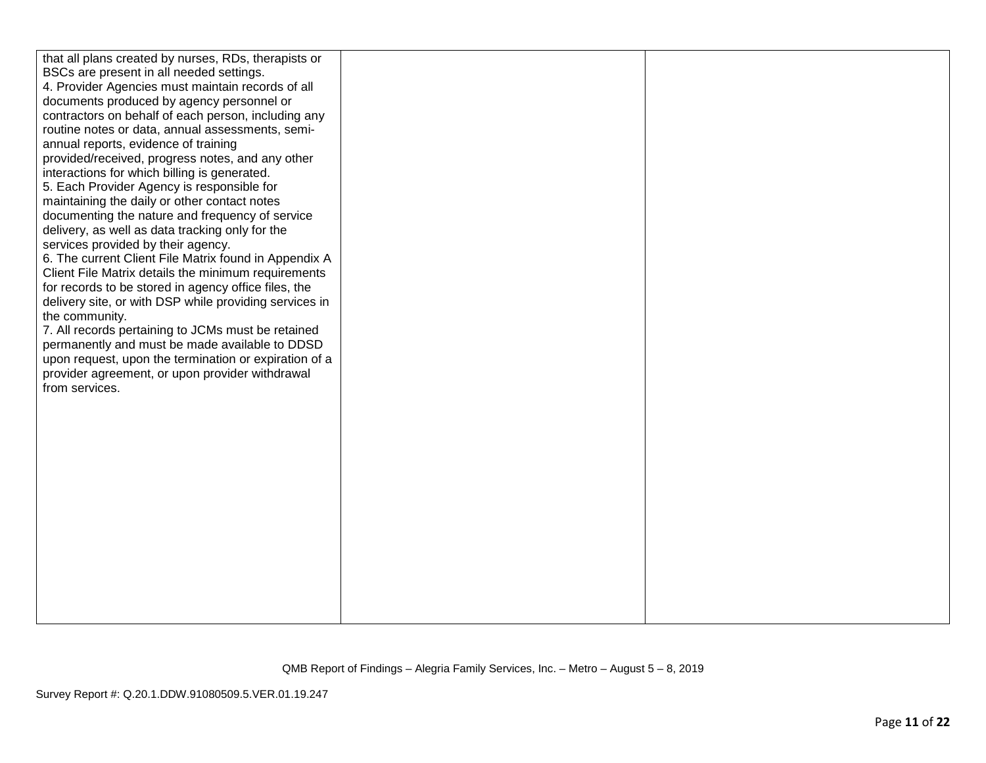| that all plans created by nurses, RDs, therapists or   |  |
|--------------------------------------------------------|--|
| BSCs are present in all needed settings.               |  |
| 4. Provider Agencies must maintain records of all      |  |
| documents produced by agency personnel or              |  |
| contractors on behalf of each person, including any    |  |
| routine notes or data, annual assessments, semi-       |  |
| annual reports, evidence of training                   |  |
| provided/received, progress notes, and any other       |  |
| interactions for which billing is generated.           |  |
| 5. Each Provider Agency is responsible for             |  |
| maintaining the daily or other contact notes           |  |
| documenting the nature and frequency of service        |  |
| delivery, as well as data tracking only for the        |  |
| services provided by their agency.                     |  |
| 6. The current Client File Matrix found in Appendix A  |  |
| Client File Matrix details the minimum requirements    |  |
| for records to be stored in agency office files, the   |  |
| delivery site, or with DSP while providing services in |  |
| the community.                                         |  |
| 7. All records pertaining to JCMs must be retained     |  |
| permanently and must be made available to DDSD         |  |
| upon request, upon the termination or expiration of a  |  |
| provider agreement, or upon provider withdrawal        |  |
| from services.                                         |  |
|                                                        |  |
|                                                        |  |
|                                                        |  |
|                                                        |  |
|                                                        |  |
|                                                        |  |
|                                                        |  |
|                                                        |  |
|                                                        |  |
|                                                        |  |
|                                                        |  |
|                                                        |  |
|                                                        |  |
|                                                        |  |
|                                                        |  |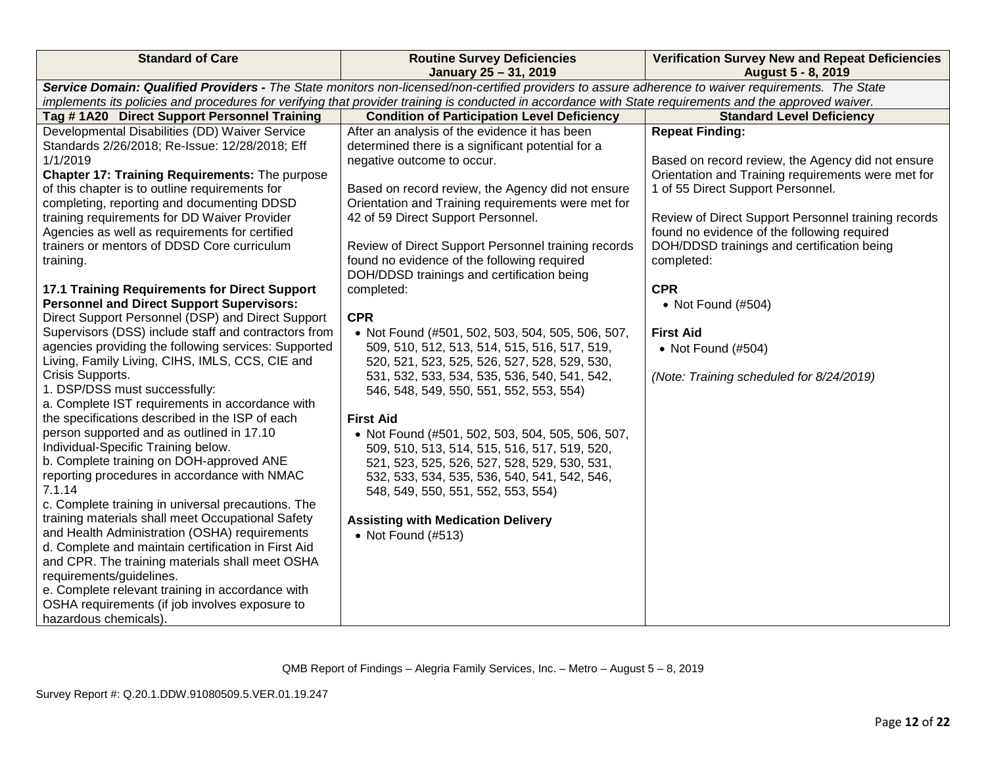| <b>Standard of Care</b>                                                                                                                                                                                                                                                                                                                                                                                                                                                                                                                                                                                                                                                                                                                                                                                                                                                                                                                                                                                                                                                                                         | <b>Routine Survey Deficiencies</b><br>January 25 - 31, 2019                                                                                                                                                                                                                                                                                                                                                                                                                                                                                                                                                                                               | <b>Verification Survey New and Repeat Deficiencies</b><br>August 5 - 8, 2019                                                                                                                                                                                                                                                             |  |  |  |
|-----------------------------------------------------------------------------------------------------------------------------------------------------------------------------------------------------------------------------------------------------------------------------------------------------------------------------------------------------------------------------------------------------------------------------------------------------------------------------------------------------------------------------------------------------------------------------------------------------------------------------------------------------------------------------------------------------------------------------------------------------------------------------------------------------------------------------------------------------------------------------------------------------------------------------------------------------------------------------------------------------------------------------------------------------------------------------------------------------------------|-----------------------------------------------------------------------------------------------------------------------------------------------------------------------------------------------------------------------------------------------------------------------------------------------------------------------------------------------------------------------------------------------------------------------------------------------------------------------------------------------------------------------------------------------------------------------------------------------------------------------------------------------------------|------------------------------------------------------------------------------------------------------------------------------------------------------------------------------------------------------------------------------------------------------------------------------------------------------------------------------------------|--|--|--|
| Service Domain: Qualified Providers - The State monitors non-licensed/non-certified providers to assure adherence to waiver requirements. The State<br>implements its policies and procedures for verifying that provider training is conducted in accordance with State requirements and the approved waiver.                                                                                                                                                                                                                                                                                                                                                                                                                                                                                                                                                                                                                                                                                                                                                                                                  |                                                                                                                                                                                                                                                                                                                                                                                                                                                                                                                                                                                                                                                           |                                                                                                                                                                                                                                                                                                                                          |  |  |  |
| Tag #1A20 Direct Support Personnel Training                                                                                                                                                                                                                                                                                                                                                                                                                                                                                                                                                                                                                                                                                                                                                                                                                                                                                                                                                                                                                                                                     | <b>Condition of Participation Level Deficiency</b>                                                                                                                                                                                                                                                                                                                                                                                                                                                                                                                                                                                                        | <b>Standard Level Deficiency</b>                                                                                                                                                                                                                                                                                                         |  |  |  |
| Developmental Disabilities (DD) Waiver Service<br>Standards 2/26/2018; Re-Issue: 12/28/2018; Eff<br>1/1/2019<br>Chapter 17: Training Requirements: The purpose<br>of this chapter is to outline requirements for<br>completing, reporting and documenting DDSD<br>training requirements for DD Waiver Provider<br>Agencies as well as requirements for certified<br>trainers or mentors of DDSD Core curriculum<br>training.                                                                                                                                                                                                                                                                                                                                                                                                                                                                                                                                                                                                                                                                                    | After an analysis of the evidence it has been<br>determined there is a significant potential for a<br>negative outcome to occur.<br>Based on record review, the Agency did not ensure<br>Orientation and Training requirements were met for<br>42 of 59 Direct Support Personnel.<br>Review of Direct Support Personnel training records<br>found no evidence of the following required                                                                                                                                                                                                                                                                   | <b>Repeat Finding:</b><br>Based on record review, the Agency did not ensure<br>Orientation and Training requirements were met for<br>1 of 55 Direct Support Personnel.<br>Review of Direct Support Personnel training records<br>found no evidence of the following required<br>DOH/DDSD trainings and certification being<br>completed: |  |  |  |
| 17.1 Training Requirements for Direct Support<br><b>Personnel and Direct Support Supervisors:</b><br>Direct Support Personnel (DSP) and Direct Support<br>Supervisors (DSS) include staff and contractors from<br>agencies providing the following services: Supported<br>Living, Family Living, CIHS, IMLS, CCS, CIE and<br>Crisis Supports.<br>1. DSP/DSS must successfully:<br>a. Complete IST requirements in accordance with<br>the specifications described in the ISP of each<br>person supported and as outlined in 17.10<br>Individual-Specific Training below.<br>b. Complete training on DOH-approved ANE<br>reporting procedures in accordance with NMAC<br>7.1.14<br>c. Complete training in universal precautions. The<br>training materials shall meet Occupational Safety<br>and Health Administration (OSHA) requirements<br>d. Complete and maintain certification in First Aid<br>and CPR. The training materials shall meet OSHA<br>requirements/guidelines.<br>e. Complete relevant training in accordance with<br>OSHA requirements (if job involves exposure to<br>hazardous chemicals). | DOH/DDSD trainings and certification being<br>completed:<br><b>CPR</b><br>• Not Found (#501, 502, 503, 504, 505, 506, 507,<br>509, 510, 512, 513, 514, 515, 516, 517, 519,<br>520, 521, 523, 525, 526, 527, 528, 529, 530,<br>531, 532, 533, 534, 535, 536, 540, 541, 542,<br>546, 548, 549, 550, 551, 552, 553, 554)<br><b>First Aid</b><br>• Not Found (#501, 502, 503, 504, 505, 506, 507,<br>509, 510, 513, 514, 515, 516, 517, 519, 520,<br>521, 523, 525, 526, 527, 528, 529, 530, 531,<br>532, 533, 534, 535, 536, 540, 541, 542, 546,<br>548, 549, 550, 551, 552, 553, 554)<br><b>Assisting with Medication Delivery</b><br>• Not Found $(\#513)$ | <b>CPR</b><br>• Not Found (#504)<br><b>First Aid</b><br>• Not Found $(\#504)$<br>(Note: Training scheduled for 8/24/2019)                                                                                                                                                                                                                |  |  |  |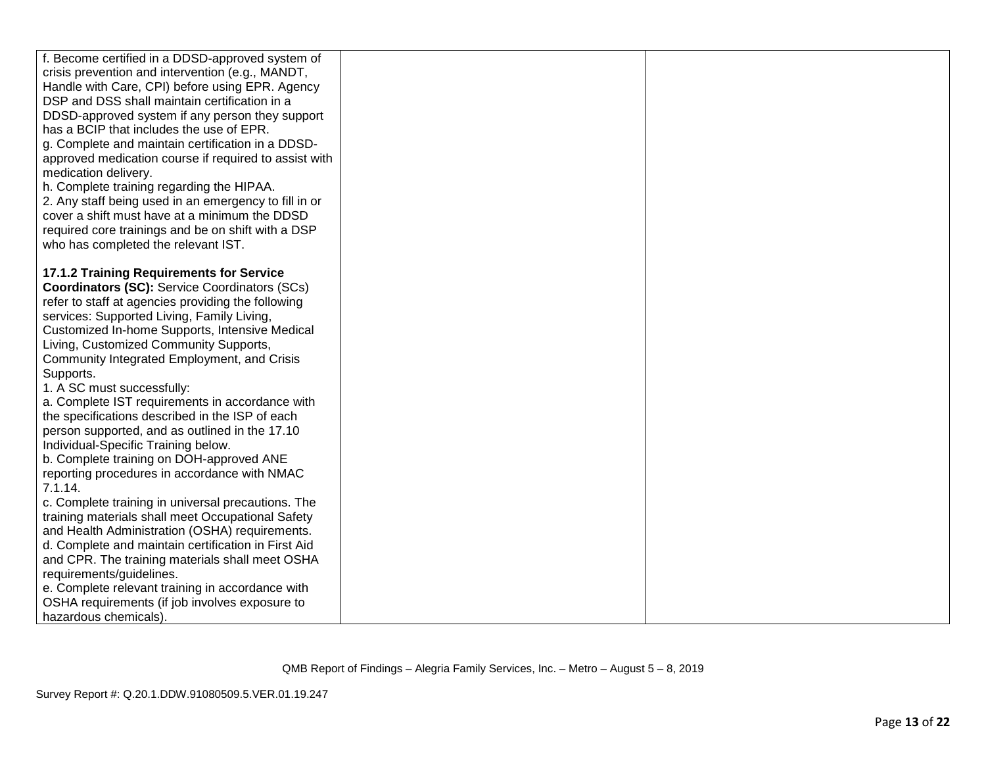| f. Become certified in a DDSD-approved system of      |  |
|-------------------------------------------------------|--|
| crisis prevention and intervention (e.g., MANDT,      |  |
| Handle with Care, CPI) before using EPR. Agency       |  |
| DSP and DSS shall maintain certification in a         |  |
| DDSD-approved system if any person they support       |  |
| has a BCIP that includes the use of EPR.              |  |
| g. Complete and maintain certification in a DDSD-     |  |
| approved medication course if required to assist with |  |
| medication delivery.                                  |  |
| h. Complete training regarding the HIPAA.             |  |
| 2. Any staff being used in an emergency to fill in or |  |
| cover a shift must have at a minimum the DDSD         |  |
| required core trainings and be on shift with a DSP    |  |
| who has completed the relevant IST.                   |  |
|                                                       |  |
| <b>17.1.2 Training Requirements for Service</b>       |  |
| <b>Coordinators (SC): Service Coordinators (SCs)</b>  |  |
| refer to staff at agencies providing the following    |  |
| services: Supported Living, Family Living,            |  |
| Customized In-home Supports, Intensive Medical        |  |
| Living, Customized Community Supports,                |  |
| Community Integrated Employment, and Crisis           |  |
| Supports.                                             |  |
| 1. A SC must successfully:                            |  |
| a. Complete IST requirements in accordance with       |  |
| the specifications described in the ISP of each       |  |
| person supported, and as outlined in the 17.10        |  |
| Individual-Specific Training below.                   |  |
| b. Complete training on DOH-approved ANE              |  |
| reporting procedures in accordance with NMAC          |  |
| 7.1.14.                                               |  |
| c. Complete training in universal precautions. The    |  |
| training materials shall meet Occupational Safety     |  |
| and Health Administration (OSHA) requirements.        |  |
| d. Complete and maintain certification in First Aid   |  |
| and CPR. The training materials shall meet OSHA       |  |
| requirements/guidelines.                              |  |
| e. Complete relevant training in accordance with      |  |
| OSHA requirements (if job involves exposure to        |  |
| hazardous chemicals)                                  |  |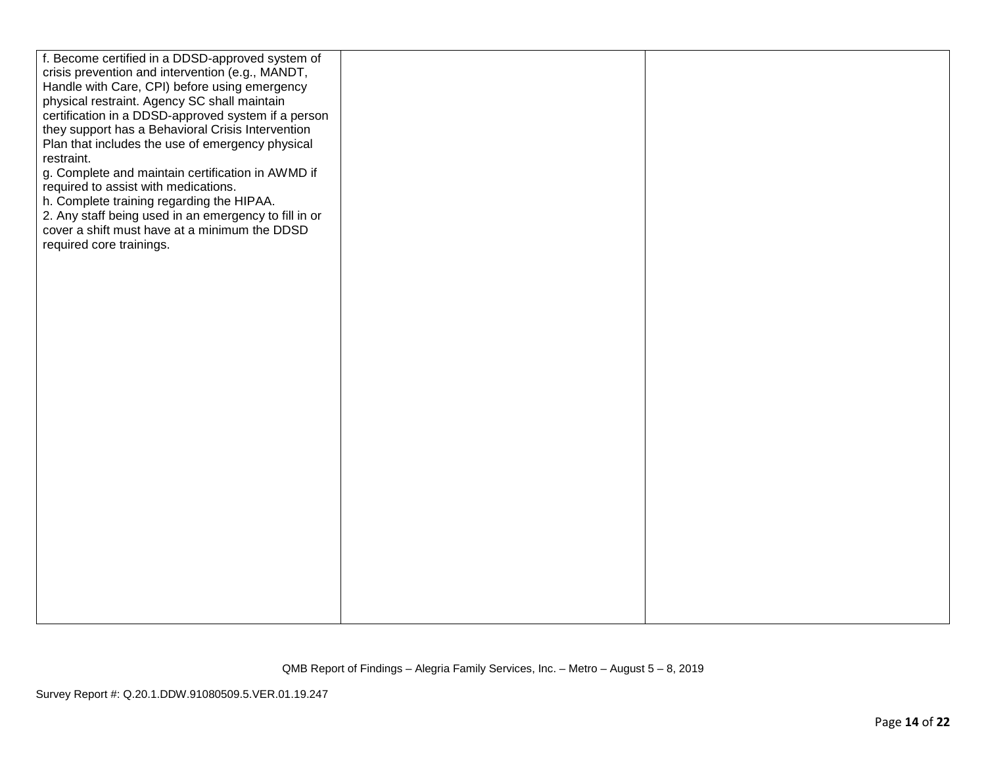| f. Become certified in a DDSD-approved system of<br>crisis prevention and intervention (e.g., MANDT,<br>Handle with Care, CPI) before using emergency<br>physical restraint. Agency SC shall maintain<br>certification in a DDSD-approved system if a person<br>they support has a Behavioral Crisis Intervention<br>Plan that includes the use of emergency physical<br>restraint.<br>g. Complete and maintain certification in AWMD if<br>required to assist with medications.<br>h. Complete training regarding the HIPAA.<br>2. Any staff being used in an emergency to fill in or<br>cover a shift must have at a minimum the DDSD |  |
|-----------------------------------------------------------------------------------------------------------------------------------------------------------------------------------------------------------------------------------------------------------------------------------------------------------------------------------------------------------------------------------------------------------------------------------------------------------------------------------------------------------------------------------------------------------------------------------------------------------------------------------------|--|
| required core trainings.                                                                                                                                                                                                                                                                                                                                                                                                                                                                                                                                                                                                                |  |
|                                                                                                                                                                                                                                                                                                                                                                                                                                                                                                                                                                                                                                         |  |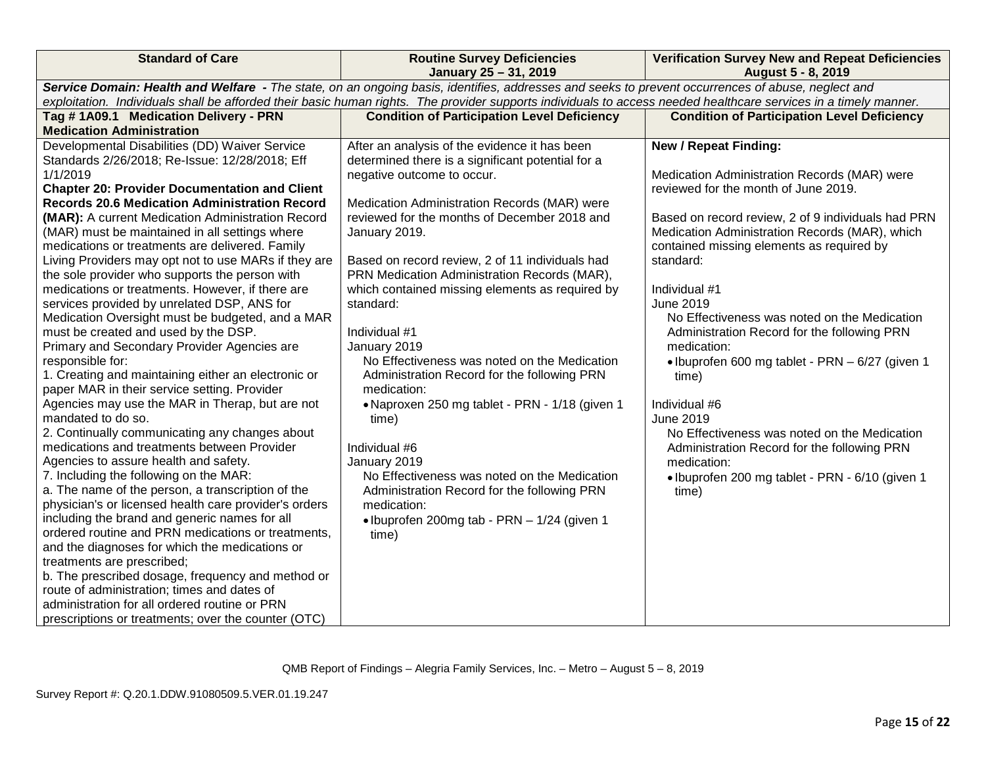| <b>Standard of Care</b>                                                                                                                           | <b>Routine Survey Deficiencies</b><br>January 25 - 31, 2019                                                                                                      | <b>Verification Survey New and Repeat Deficiencies</b><br>August 5 - 8, 2019 |  |  |  |  |
|---------------------------------------------------------------------------------------------------------------------------------------------------|------------------------------------------------------------------------------------------------------------------------------------------------------------------|------------------------------------------------------------------------------|--|--|--|--|
| Service Domain: Health and Welfare - The state, on an ongoing basis, identifies, addresses and seeks to prevent occurrences of abuse, neglect and |                                                                                                                                                                  |                                                                              |  |  |  |  |
|                                                                                                                                                   | exploitation. Individuals shall be afforded their basic human rights. The provider supports individuals to access needed healthcare services in a timely manner. |                                                                              |  |  |  |  |
| Tag #1A09.1 Medication Delivery - PRN                                                                                                             | <b>Condition of Participation Level Deficiency</b>                                                                                                               | <b>Condition of Participation Level Deficiency</b>                           |  |  |  |  |
| <b>Medication Administration</b>                                                                                                                  |                                                                                                                                                                  |                                                                              |  |  |  |  |
| Developmental Disabilities (DD) Waiver Service                                                                                                    | After an analysis of the evidence it has been                                                                                                                    | <b>New / Repeat Finding:</b>                                                 |  |  |  |  |
| Standards 2/26/2018; Re-Issue: 12/28/2018; Eff                                                                                                    | determined there is a significant potential for a                                                                                                                |                                                                              |  |  |  |  |
| 1/1/2019                                                                                                                                          | negative outcome to occur.                                                                                                                                       | Medication Administration Records (MAR) were                                 |  |  |  |  |
| <b>Chapter 20: Provider Documentation and Client</b>                                                                                              |                                                                                                                                                                  | reviewed for the month of June 2019.                                         |  |  |  |  |
| <b>Records 20.6 Medication Administration Record</b>                                                                                              | Medication Administration Records (MAR) were                                                                                                                     |                                                                              |  |  |  |  |
| (MAR): A current Medication Administration Record                                                                                                 | reviewed for the months of December 2018 and                                                                                                                     | Based on record review, 2 of 9 individuals had PRN                           |  |  |  |  |
| (MAR) must be maintained in all settings where                                                                                                    | January 2019.                                                                                                                                                    | Medication Administration Records (MAR), which                               |  |  |  |  |
| medications or treatments are delivered. Family                                                                                                   |                                                                                                                                                                  | contained missing elements as required by                                    |  |  |  |  |
| Living Providers may opt not to use MARs if they are                                                                                              | Based on record review, 2 of 11 individuals had                                                                                                                  | standard:                                                                    |  |  |  |  |
| the sole provider who supports the person with                                                                                                    | PRN Medication Administration Records (MAR),                                                                                                                     |                                                                              |  |  |  |  |
| medications or treatments. However, if there are                                                                                                  | which contained missing elements as required by                                                                                                                  | Individual #1                                                                |  |  |  |  |
| services provided by unrelated DSP, ANS for                                                                                                       | standard:                                                                                                                                                        | <b>June 2019</b>                                                             |  |  |  |  |
| Medication Oversight must be budgeted, and a MAR                                                                                                  |                                                                                                                                                                  | No Effectiveness was noted on the Medication                                 |  |  |  |  |
| must be created and used by the DSP.                                                                                                              | Individual #1                                                                                                                                                    | Administration Record for the following PRN                                  |  |  |  |  |
| Primary and Secondary Provider Agencies are                                                                                                       | January 2019                                                                                                                                                     | medication:                                                                  |  |  |  |  |
| responsible for:                                                                                                                                  | No Effectiveness was noted on the Medication                                                                                                                     | • Ibuprofen 600 mg tablet - PRN - 6/27 (given 1                              |  |  |  |  |
| 1. Creating and maintaining either an electronic or                                                                                               | Administration Record for the following PRN                                                                                                                      | time)                                                                        |  |  |  |  |
| paper MAR in their service setting. Provider                                                                                                      | medication:                                                                                                                                                      |                                                                              |  |  |  |  |
| Agencies may use the MAR in Therap, but are not                                                                                                   | • Naproxen 250 mg tablet - PRN - 1/18 (given 1                                                                                                                   | Individual #6                                                                |  |  |  |  |
| mandated to do so.                                                                                                                                | time)                                                                                                                                                            | <b>June 2019</b>                                                             |  |  |  |  |
| 2. Continually communicating any changes about                                                                                                    |                                                                                                                                                                  | No Effectiveness was noted on the Medication                                 |  |  |  |  |
| medications and treatments between Provider                                                                                                       | Individual #6                                                                                                                                                    | Administration Record for the following PRN                                  |  |  |  |  |
| Agencies to assure health and safety.                                                                                                             | January 2019                                                                                                                                                     | medication:                                                                  |  |  |  |  |
| 7. Including the following on the MAR:                                                                                                            | No Effectiveness was noted on the Medication                                                                                                                     | · Ibuprofen 200 mg tablet - PRN - 6/10 (given 1                              |  |  |  |  |
| a. The name of the person, a transcription of the                                                                                                 | Administration Record for the following PRN                                                                                                                      | time)                                                                        |  |  |  |  |
| physician's or licensed health care provider's orders                                                                                             | medication:                                                                                                                                                      |                                                                              |  |  |  |  |
| including the brand and generic names for all                                                                                                     | • Ibuprofen 200mg tab - PRN - 1/24 (given 1                                                                                                                      |                                                                              |  |  |  |  |
| ordered routine and PRN medications or treatments,                                                                                                | time)                                                                                                                                                            |                                                                              |  |  |  |  |
| and the diagnoses for which the medications or                                                                                                    |                                                                                                                                                                  |                                                                              |  |  |  |  |
| treatments are prescribed;                                                                                                                        |                                                                                                                                                                  |                                                                              |  |  |  |  |
| b. The prescribed dosage, frequency and method or                                                                                                 |                                                                                                                                                                  |                                                                              |  |  |  |  |
| route of administration; times and dates of                                                                                                       |                                                                                                                                                                  |                                                                              |  |  |  |  |
| administration for all ordered routine or PRN                                                                                                     |                                                                                                                                                                  |                                                                              |  |  |  |  |
| prescriptions or treatments; over the counter (OTC)                                                                                               |                                                                                                                                                                  |                                                                              |  |  |  |  |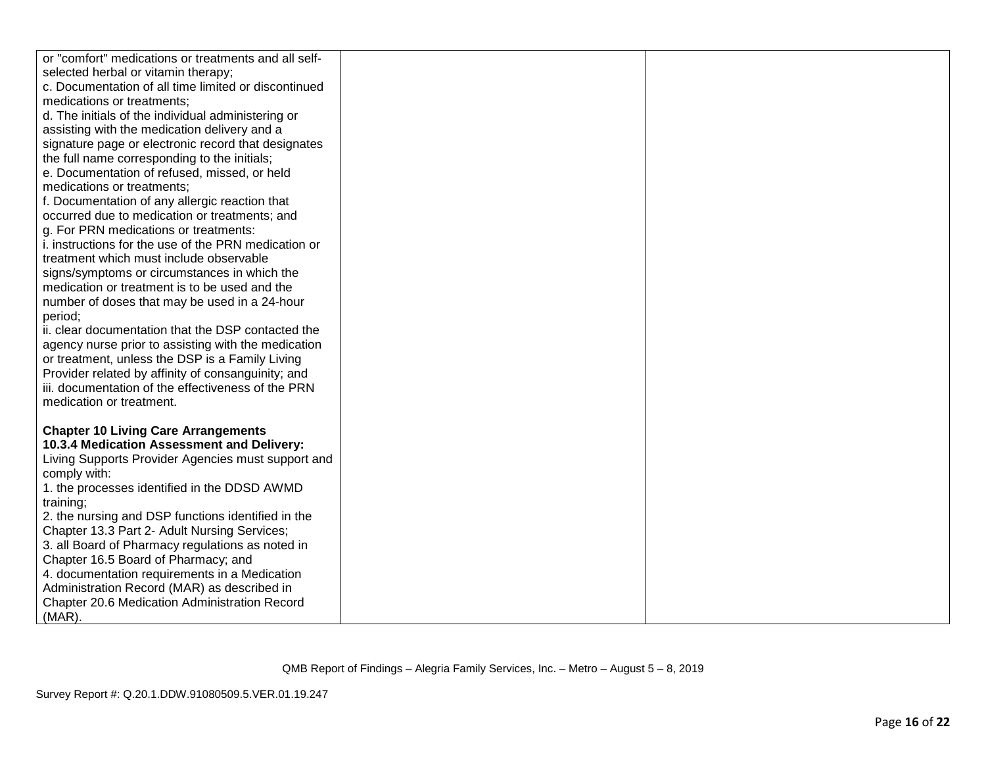| or "comfort" medications or treatments and all self-                                     |  |
|------------------------------------------------------------------------------------------|--|
| selected herbal or vitamin therapy;                                                      |  |
| c. Documentation of all time limited or discontinued                                     |  |
| medications or treatments;                                                               |  |
| d. The initials of the individual administering or                                       |  |
| assisting with the medication delivery and a                                             |  |
| signature page or electronic record that designates                                      |  |
| the full name corresponding to the initials;                                             |  |
| e. Documentation of refused, missed, or held                                             |  |
| medications or treatments;                                                               |  |
| f. Documentation of any allergic reaction that                                           |  |
| occurred due to medication or treatments; and                                            |  |
| g. For PRN medications or treatments:                                                    |  |
| i. instructions for the use of the PRN medication or                                     |  |
| treatment which must include observable                                                  |  |
| signs/symptoms or circumstances in which the                                             |  |
| medication or treatment is to be used and the                                            |  |
| number of doses that may be used in a 24-hour                                            |  |
| period;                                                                                  |  |
| ii. clear documentation that the DSP contacted the                                       |  |
| agency nurse prior to assisting with the medication                                      |  |
| or treatment, unless the DSP is a Family Living                                          |  |
| Provider related by affinity of consanguinity; and                                       |  |
| iii. documentation of the effectiveness of the PRN                                       |  |
| medication or treatment.                                                                 |  |
|                                                                                          |  |
| <b>Chapter 10 Living Care Arrangements</b><br>10.3.4 Medication Assessment and Delivery: |  |
| Living Supports Provider Agencies must support and                                       |  |
| comply with:                                                                             |  |
| 1. the processes identified in the DDSD AWMD                                             |  |
| training;                                                                                |  |
| 2. the nursing and DSP functions identified in the                                       |  |
| Chapter 13.3 Part 2- Adult Nursing Services;                                             |  |
| 3. all Board of Pharmacy regulations as noted in                                         |  |
| Chapter 16.5 Board of Pharmacy; and                                                      |  |
| 4. documentation requirements in a Medication                                            |  |
| Administration Record (MAR) as described in                                              |  |
| Chapter 20.6 Medication Administration Record                                            |  |
| $(MAR)$ .                                                                                |  |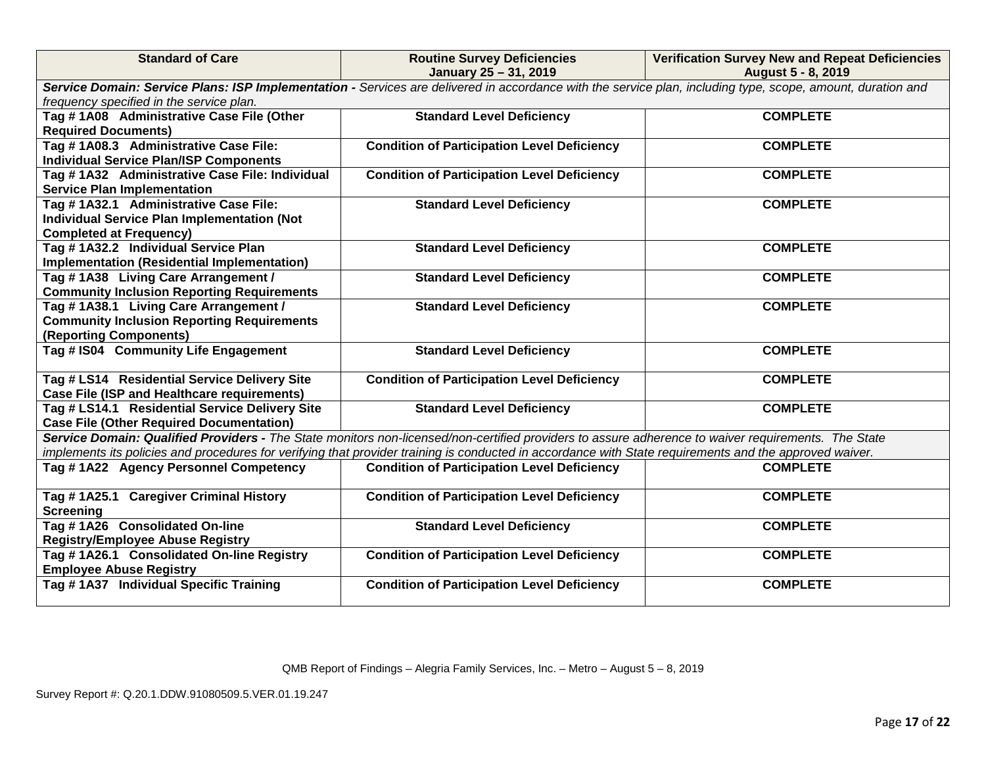| <b>Standard of Care</b>                                                                | <b>Routine Survey Deficiencies</b><br>January 25 - 31, 2019                                                                                                 | <b>Verification Survey New and Repeat Deficiencies</b><br>August 5 - 8, 2019 |
|----------------------------------------------------------------------------------------|-------------------------------------------------------------------------------------------------------------------------------------------------------------|------------------------------------------------------------------------------|
|                                                                                        | Service Domain: Service Plans: ISP Implementation - Services are delivered in accordance with the service plan, including type, scope, amount, duration and |                                                                              |
| frequency specified in the service plan.                                               |                                                                                                                                                             |                                                                              |
| Tag #1A08 Administrative Case File (Other                                              | <b>Standard Level Deficiency</b>                                                                                                                            | <b>COMPLETE</b>                                                              |
| <b>Required Documents)</b>                                                             |                                                                                                                                                             |                                                                              |
| Tag #1A08.3 Administrative Case File:<br><b>Individual Service Plan/ISP Components</b> | <b>Condition of Participation Level Deficiency</b>                                                                                                          | <b>COMPLETE</b>                                                              |
| Tag #1A32 Administrative Case File: Individual                                         | <b>Condition of Participation Level Deficiency</b>                                                                                                          | <b>COMPLETE</b>                                                              |
| <b>Service Plan Implementation</b>                                                     |                                                                                                                                                             |                                                                              |
| Tag # 1A32.1 Administrative Case File:                                                 | <b>Standard Level Deficiency</b>                                                                                                                            | <b>COMPLETE</b>                                                              |
| <b>Individual Service Plan Implementation (Not</b>                                     |                                                                                                                                                             |                                                                              |
| <b>Completed at Frequency)</b>                                                         |                                                                                                                                                             |                                                                              |
| Tag #1A32.2 Individual Service Plan                                                    | <b>Standard Level Deficiency</b>                                                                                                                            | <b>COMPLETE</b>                                                              |
| Implementation (Residential Implementation)                                            |                                                                                                                                                             |                                                                              |
| Tag #1A38 Living Care Arrangement /                                                    | <b>Standard Level Deficiency</b>                                                                                                                            | <b>COMPLETE</b>                                                              |
| <b>Community Inclusion Reporting Requirements</b>                                      |                                                                                                                                                             |                                                                              |
| Tag #1A38.1 Living Care Arrangement /                                                  | <b>Standard Level Deficiency</b>                                                                                                                            | <b>COMPLETE</b>                                                              |
| <b>Community Inclusion Reporting Requirements</b>                                      |                                                                                                                                                             |                                                                              |
| (Reporting Components)                                                                 |                                                                                                                                                             |                                                                              |
| Tag # IS04 Community Life Engagement                                                   | <b>Standard Level Deficiency</b>                                                                                                                            | <b>COMPLETE</b>                                                              |
|                                                                                        |                                                                                                                                                             |                                                                              |
| Tag # LS14 Residential Service Delivery Site                                           | <b>Condition of Participation Level Deficiency</b>                                                                                                          | <b>COMPLETE</b>                                                              |
| Case File (ISP and Healthcare requirements)                                            |                                                                                                                                                             |                                                                              |
| Tag # LS14.1 Residential Service Delivery Site                                         | <b>Standard Level Deficiency</b>                                                                                                                            | <b>COMPLETE</b>                                                              |
| <b>Case File (Other Required Documentation)</b>                                        |                                                                                                                                                             |                                                                              |
|                                                                                        | Service Domain: Qualified Providers - The State monitors non-licensed/non-certified providers to assure adherence to waiver requirements. The State         |                                                                              |
|                                                                                        | implements its policies and procedures for verifying that provider training is conducted in accordance with State requirements and the approved waiver.     |                                                                              |
| Tag #1A22 Agency Personnel Competency                                                  | <b>Condition of Participation Level Deficiency</b>                                                                                                          | <b>COMPLETE</b>                                                              |
| Tag #1A25.1 Caregiver Criminal History                                                 | <b>Condition of Participation Level Deficiency</b>                                                                                                          | <b>COMPLETE</b>                                                              |
| <b>Screening</b>                                                                       |                                                                                                                                                             |                                                                              |
| Tag #1A26 Consolidated On-line                                                         | <b>Standard Level Deficiency</b>                                                                                                                            | <b>COMPLETE</b>                                                              |
| <b>Registry/Employee Abuse Registry</b>                                                |                                                                                                                                                             |                                                                              |
| Tag # 1A26.1 Consolidated On-line Registry                                             | <b>Condition of Participation Level Deficiency</b>                                                                                                          | <b>COMPLETE</b>                                                              |
| <b>Employee Abuse Registry</b>                                                         |                                                                                                                                                             |                                                                              |
| Tag #1A37 Individual Specific Training                                                 | <b>Condition of Participation Level Deficiency</b>                                                                                                          | <b>COMPLETE</b>                                                              |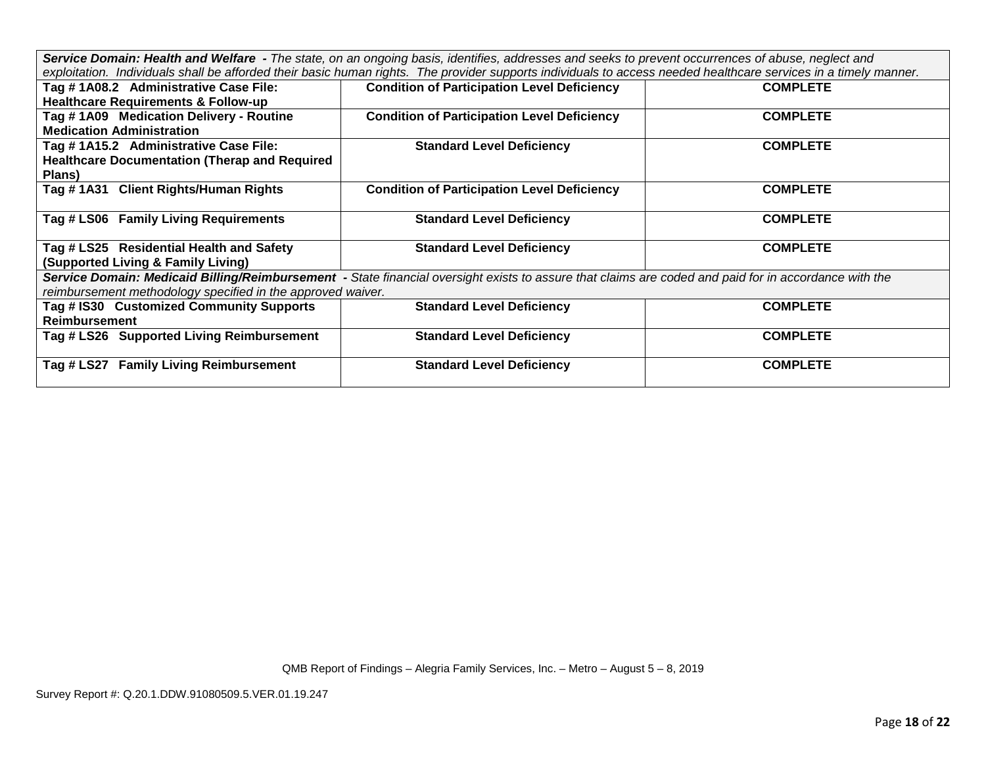*Service Domain: Health and Welfare - The state, on an ongoing basis, identifies, addresses and seeks to prevent occurrences of abuse, neglect and exploitation. Individuals shall be afforded their basic human rights. The provider supports individuals to access needed healthcare services in a timely manner.*

| Tag #1A08.2 Administrative Case File:                                                                                                                 | <b>Condition of Participation Level Deficiency</b> | <b>COMPLETE</b> |  |  |
|-------------------------------------------------------------------------------------------------------------------------------------------------------|----------------------------------------------------|-----------------|--|--|
| <b>Healthcare Requirements &amp; Follow-up</b>                                                                                                        |                                                    |                 |  |  |
| Tag #1A09 Medication Delivery - Routine                                                                                                               | <b>Condition of Participation Level Deficiency</b> | <b>COMPLETE</b> |  |  |
| <b>Medication Administration</b>                                                                                                                      |                                                    |                 |  |  |
| Tag #1A15.2 Administrative Case File:                                                                                                                 | <b>Standard Level Deficiency</b>                   | <b>COMPLETE</b> |  |  |
| <b>Healthcare Documentation (Therap and Required</b>                                                                                                  |                                                    |                 |  |  |
| Plans)                                                                                                                                                |                                                    |                 |  |  |
| Tag #1A31 Client Rights/Human Rights                                                                                                                  | <b>Condition of Participation Level Deficiency</b> | <b>COMPLETE</b> |  |  |
|                                                                                                                                                       |                                                    |                 |  |  |
| Tag # LS06 Family Living Requirements                                                                                                                 | <b>Standard Level Deficiency</b>                   | <b>COMPLETE</b> |  |  |
|                                                                                                                                                       |                                                    |                 |  |  |
| Tag # LS25 Residential Health and Safety                                                                                                              | <b>Standard Level Deficiency</b>                   | <b>COMPLETE</b> |  |  |
| (Supported Living & Family Living)                                                                                                                    |                                                    |                 |  |  |
| Service Domain: Medicaid Billing/Reimbursement - State financial oversight exists to assure that claims are coded and paid for in accordance with the |                                                    |                 |  |  |
| reimbursement methodology specified in the approved waiver.                                                                                           |                                                    |                 |  |  |
| Tag # IS30 Customized Community Supports                                                                                                              | <b>Standard Level Deficiency</b>                   | <b>COMPLETE</b> |  |  |
| <b>Reimbursement</b>                                                                                                                                  |                                                    |                 |  |  |
| Tag # LS26 Supported Living Reimbursement                                                                                                             | <b>Standard Level Deficiency</b>                   | <b>COMPLETE</b> |  |  |
|                                                                                                                                                       |                                                    |                 |  |  |
| Tag # LS27 Family Living Reimbursement                                                                                                                | <b>Standard Level Deficiency</b>                   | <b>COMPLETE</b> |  |  |
|                                                                                                                                                       |                                                    |                 |  |  |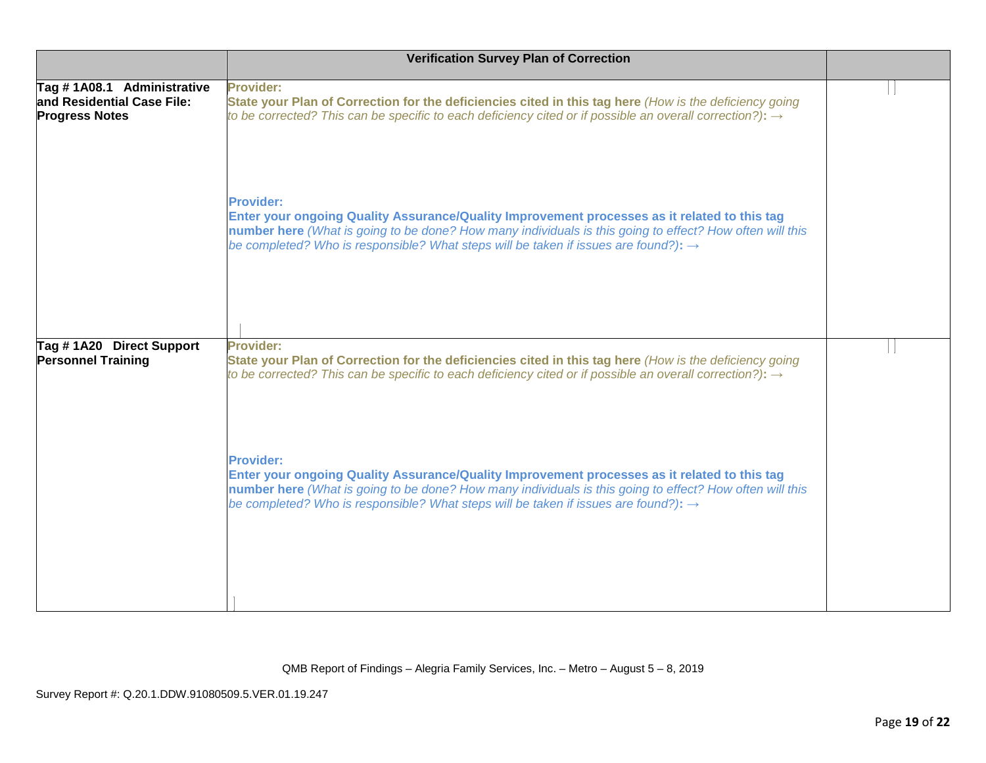|                                                                                   | <b>Verification Survey Plan of Correction</b>                                                                                                                                                                                                                                                                                   |  |
|-----------------------------------------------------------------------------------|---------------------------------------------------------------------------------------------------------------------------------------------------------------------------------------------------------------------------------------------------------------------------------------------------------------------------------|--|
| Tag #1A08.1 Administrative<br>and Residential Case File:<br><b>Progress Notes</b> | <b>Provider:</b><br>State your Plan of Correction for the deficiencies cited in this tag here (How is the deficiency going<br>to be corrected? This can be specific to each deficiency cited or if possible an overall correction?): $\rightarrow$                                                                              |  |
|                                                                                   | <b>Provider:</b><br>Enter your ongoing Quality Assurance/Quality Improvement processes as it related to this tag<br>number here (What is going to be done? How many individuals is this going to effect? How often will this<br>be completed? Who is responsible? What steps will be taken if issues are found?): $\rightarrow$ |  |
| Tag #1A20 Direct Support<br><b>Personnel Training</b>                             | <b>Provider:</b><br>State your Plan of Correction for the deficiencies cited in this tag here (How is the deficiency going<br>to be corrected? This can be specific to each deficiency cited or if possible an overall correction?): $\rightarrow$                                                                              |  |
|                                                                                   | <b>Provider:</b><br>Enter your ongoing Quality Assurance/Quality Improvement processes as it related to this tag<br>number here (What is going to be done? How many individuals is this going to effect? How often will this<br>be completed? Who is responsible? What steps will be taken if issues are found?): $\rightarrow$ |  |
|                                                                                   |                                                                                                                                                                                                                                                                                                                                 |  |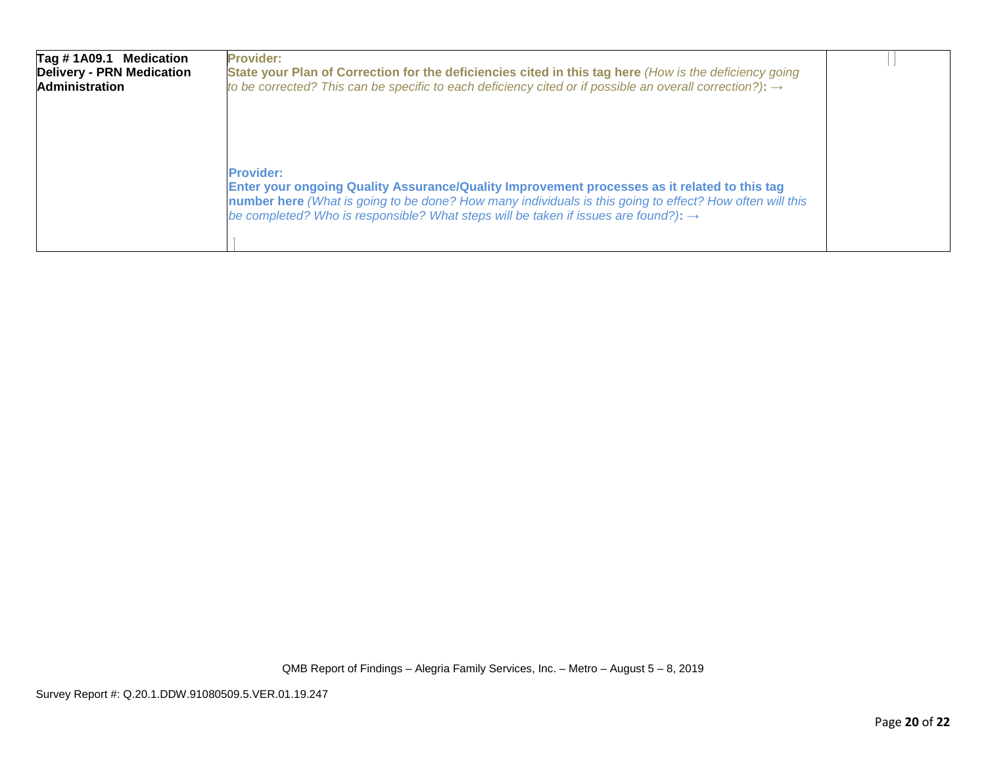| Tag #1A09.1 Medication<br><b>Delivery - PRN Medication</b><br><b>Administration</b> | <b>Provider:</b><br>State your Plan of Correction for the deficiencies cited in this tag here (How is the deficiency going<br>to be corrected? This can be specific to each deficiency cited or if possible an overall correction?): $\rightarrow$                                                                              |  |
|-------------------------------------------------------------------------------------|---------------------------------------------------------------------------------------------------------------------------------------------------------------------------------------------------------------------------------------------------------------------------------------------------------------------------------|--|
|                                                                                     | <b>Provider:</b><br>Enter your ongoing Quality Assurance/Quality Improvement processes as it related to this tag<br>number here (What is going to be done? How many individuals is this going to effect? How often will this<br>be completed? Who is responsible? What steps will be taken if issues are found?): $\rightarrow$ |  |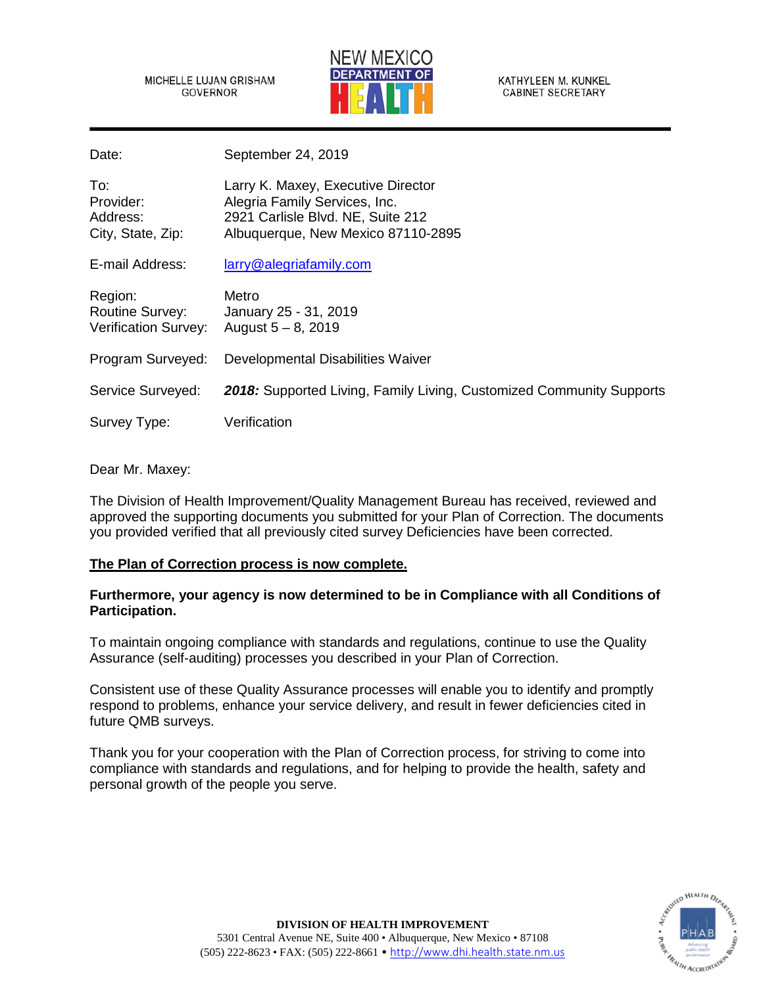MICHELLE LUJAN GRISHAM GOVERNOR



KATHYLEEN M. KUNKEL **CABINET SECRETARY** 

Date: September 24, 2019

| To:<br>Provider:<br>Address:<br>City, State, Zip:                | Larry K. Maxey, Executive Director<br>Alegria Family Services, Inc.<br>2921 Carlisle Blvd. NE, Suite 212<br>Albuquerque, New Mexico 87110-2895 |
|------------------------------------------------------------------|------------------------------------------------------------------------------------------------------------------------------------------------|
| E-mail Address:                                                  | larry@alegriafamily.com                                                                                                                        |
| Region:<br><b>Routine Survey:</b><br><b>Verification Survey:</b> | Metro<br>January 25 - 31, 2019<br>August $5 - 8$ , 2019                                                                                        |
| Program Surveyed:                                                | Developmental Disabilities Waiver                                                                                                              |
| Service Surveyed:                                                | <b>2018:</b> Supported Living, Family Living, Customized Community Supports                                                                    |
| Survey Type:                                                     | Verification                                                                                                                                   |

# Dear Mr. Maxey:

The Division of Health Improvement/Quality Management Bureau has received, reviewed and approved the supporting documents you submitted for your Plan of Correction. The documents you provided verified that all previously cited survey Deficiencies have been corrected.

# **The Plan of Correction process is now complete.**

# **Furthermore, your agency is now determined to be in Compliance with all Conditions of Participation.**

To maintain ongoing compliance with standards and regulations, continue to use the Quality Assurance (self-auditing) processes you described in your Plan of Correction.

Consistent use of these Quality Assurance processes will enable you to identify and promptly respond to problems, enhance your service delivery, and result in fewer deficiencies cited in future QMB surveys.

Thank you for your cooperation with the Plan of Correction process, for striving to come into compliance with standards and regulations, and for helping to provide the health, safety and personal growth of the people you serve.